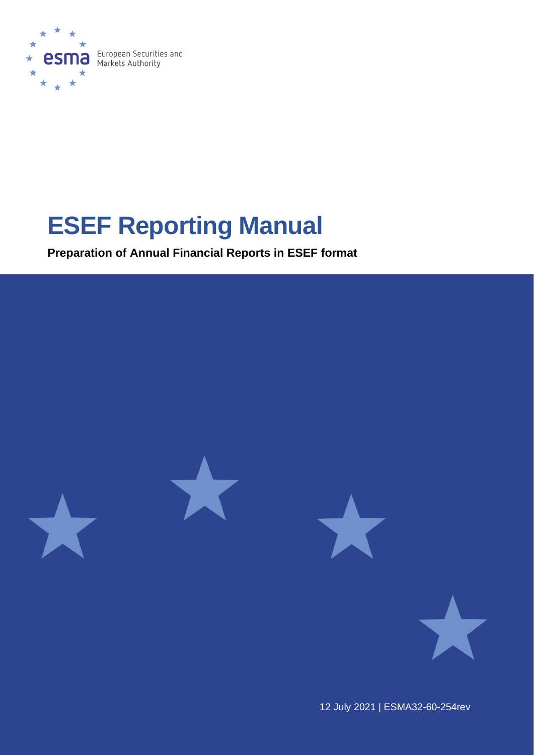

# **ESEF Reporting Manual**

**Preparation of Annual Financial Reports in ESEF format**



12 July 2021 | ESMA32-60-254rev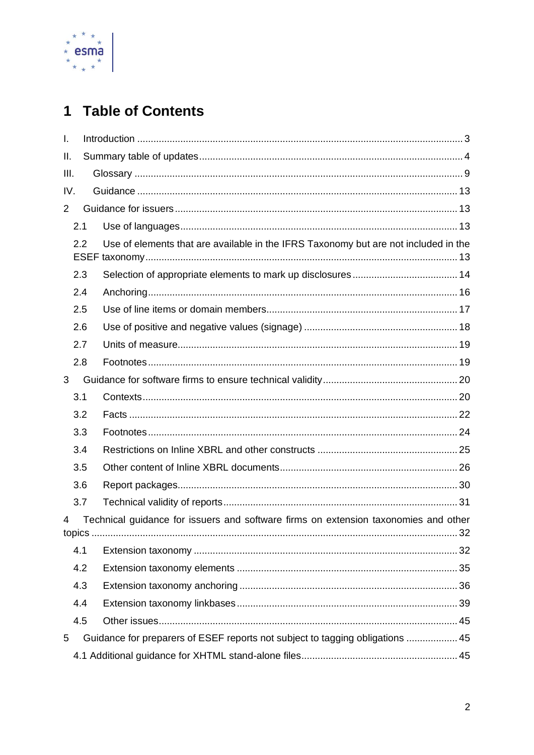

## 1 Table of Contents

| $\mathbf{I}$ . |     |                                                                                     |    |  |
|----------------|-----|-------------------------------------------------------------------------------------|----|--|
| Ш.             |     |                                                                                     |    |  |
| III.           |     |                                                                                     |    |  |
| IV.            |     |                                                                                     |    |  |
| $\overline{2}$ |     |                                                                                     |    |  |
|                | 2.1 |                                                                                     |    |  |
|                | 2.2 | Use of elements that are available in the IFRS Taxonomy but are not included in the |    |  |
|                | 2.3 |                                                                                     |    |  |
|                | 2.4 |                                                                                     |    |  |
|                | 2.5 |                                                                                     |    |  |
|                | 2.6 |                                                                                     |    |  |
|                | 2.7 |                                                                                     |    |  |
|                | 2.8 |                                                                                     |    |  |
| 3              |     |                                                                                     |    |  |
|                | 3.1 |                                                                                     |    |  |
|                | 3.2 |                                                                                     |    |  |
|                | 3.3 |                                                                                     |    |  |
|                | 3.4 |                                                                                     |    |  |
|                | 3.5 |                                                                                     |    |  |
|                | 3.6 |                                                                                     |    |  |
|                | 3.7 |                                                                                     |    |  |
| 4<br>topics    |     | Technical guidance for issuers and software firms on extension taxonomies and other | 32 |  |
|                | 4.1 |                                                                                     |    |  |
|                | 4.2 |                                                                                     |    |  |
|                | 4.3 |                                                                                     |    |  |
|                | 4.4 |                                                                                     |    |  |
|                | 4.5 |                                                                                     |    |  |
| 5              |     | Guidance for preparers of ESEF reports not subject to tagging obligations  45       |    |  |
|                |     |                                                                                     |    |  |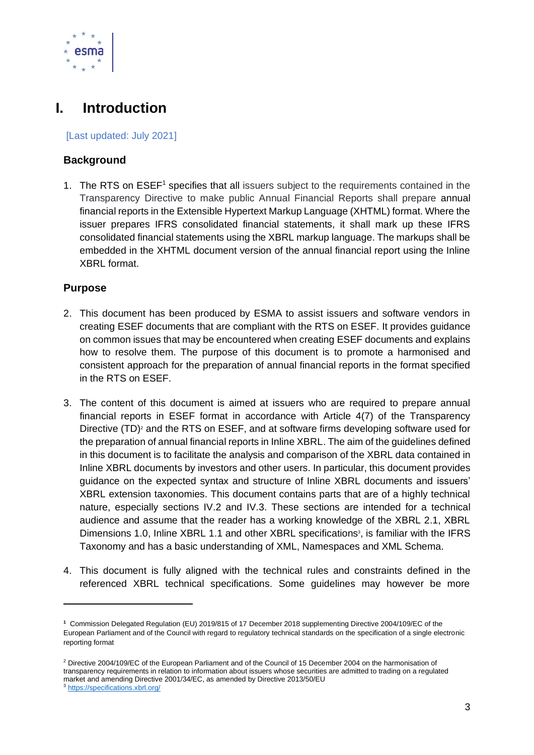

## <span id="page-2-0"></span>**I. Introduction**

[Last updated: July 2021]

#### **Background**

1. The RTS on ESEF<sup>1</sup> specifies that all issuers subject to the requirements contained in the Transparency Directive to make public Annual Financial Reports shall prepare annual financial reports in the Extensible Hypertext Markup Language (XHTML) format. Where the issuer prepares IFRS consolidated financial statements, it shall mark up these IFRS consolidated financial statements using the XBRL markup language. The markups shall be embedded in the XHTML document version of the annual financial report using the Inline XBRL format.

#### **Purpose**

- 2. This document has been produced by ESMA to assist issuers and software vendors in creating ESEF documents that are compliant with the RTS on ESEF. It provides guidance on common issues that may be encountered when creating ESEF documents and explains how to resolve them. The purpose of this document is to promote a harmonised and consistent approach for the preparation of annual financial reports in the format specified in the RTS on ESEF.
- 3. The content of this document is aimed at issuers who are required to prepare annual financial reports in ESEF format in accordance with Article 4(7) of the Transparency Directive (TD)<sup>2</sup> and the RTS on ESEF, and at software firms developing software used for the preparation of annual financial reports in Inline XBRL. The aim of the guidelines defined in this document is to facilitate the analysis and comparison of the XBRL data contained in Inline XBRL documents by investors and other users. In particular, this document provides guidance on the expected syntax and structure of Inline XBRL documents and issuers' XBRL extension taxonomies. This document contains parts that are of a highly technical nature, especially sections IV.2 and IV.3. These sections are intended for a technical audience and assume that the reader has a working knowledge of the XBRL 2.1, XBRL Dimensions 1.0, Inline XBRL 1.1 and other XBRL specifications<sup>3</sup>, is familiar with the IFRS Taxonomy and has a basic understanding of XML, Namespaces and XML Schema.
- 4. This document is fully aligned with the technical rules and constraints defined in the referenced XBRL technical specifications. Some guidelines may however be more

**<sup>1</sup>** Commission Delegated Regulation (EU) 2019/815 of 17 December 2018 supplementing Directive 2004/109/EC of the European Parliament and of the Council with regard to regulatory technical standards on the specification of a single electronic reporting format

<sup>2</sup> Directive 2004/109/EC of the European Parliament and of the Council of 15 December 2004 on the harmonisation of transparency requirements in relation to information about issuers whose securities are admitted to trading on a regulated market and amending Directive 2001/34/EC, as amended by Directive 2013/50/EU <sup>3</sup> <https://specifications.xbrl.org/>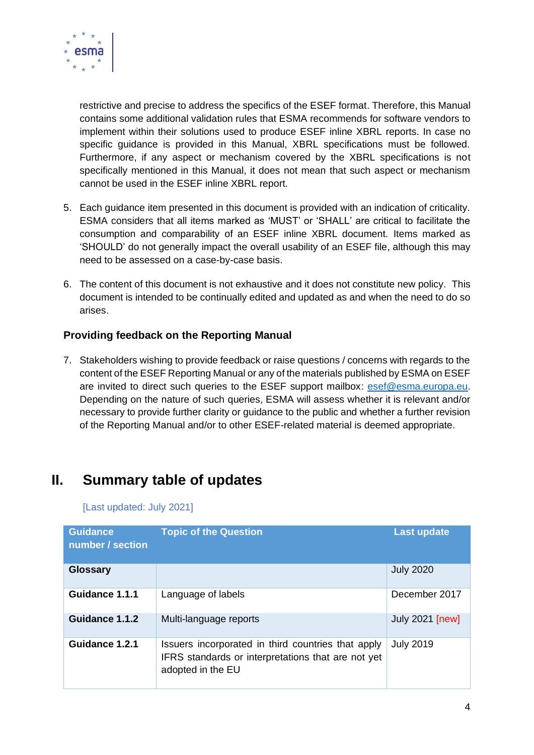

restrictive and precise to address the specifics of the ESEF format. Therefore, this Manual contains some additional validation rules that ESMA recommends for software vendors to implement within their solutions used to produce ESEF inline XBRL reports. In case no specific guidance is provided in this Manual, XBRL specifications must be followed. Furthermore, if any aspect or mechanism covered by the XBRL specifications is not specifically mentioned in this Manual, it does not mean that such aspect or mechanism cannot be used in the ESEF inline XBRL report.

- 5. Each guidance item presented in this document is provided with an indication of criticality. ESMA considers that all items marked as 'MUST' or 'SHALL' are critical to facilitate the consumption and comparability of an ESEF inline XBRL document. Items marked as 'SHOULD' do not generally impact the overall usability of an ESEF file, although this may need to be assessed on a case-by-case basis.
- 6. The content of this document is not exhaustive and it does not constitute new policy. This document is intended to be continually edited and updated as and when the need to do so arises.

#### **Providing feedback on the Reporting Manual**

7. Stakeholders wishing to provide feedback or raise questions / concerns with regards to the content of the ESEF Reporting Manual or any of the materials published by ESMA on ESEF are invited to direct such queries to the ESEF support mailbox: [esef@esma.europa.eu.](mailto:esef@esma.europa.eu) Depending on the nature of such queries, ESMA will assess whether it is relevant and/or necessary to provide further clarity or guidance to the public and whether a further revision of the Reporting Manual and/or to other ESEF-related material is deemed appropriate.

## <span id="page-3-0"></span>**II. Summary table of updates**

[Last updated: July 2021]

| <b>Guidance</b><br>number / section | <b>Topic of the Question</b>                                                                                                  | <b>Last update</b>     |
|-------------------------------------|-------------------------------------------------------------------------------------------------------------------------------|------------------------|
| <b>Glossary</b>                     |                                                                                                                               | <b>July 2020</b>       |
| Guidance 1.1.1                      | Language of labels                                                                                                            | December 2017          |
| Guidance 1.1.2                      | Multi-language reports                                                                                                        | <b>July 2021 [new]</b> |
| Guidance 1.2.1                      | Issuers incorporated in third countries that apply<br>IFRS standards or interpretations that are not yet<br>adopted in the EU | <b>July 2019</b>       |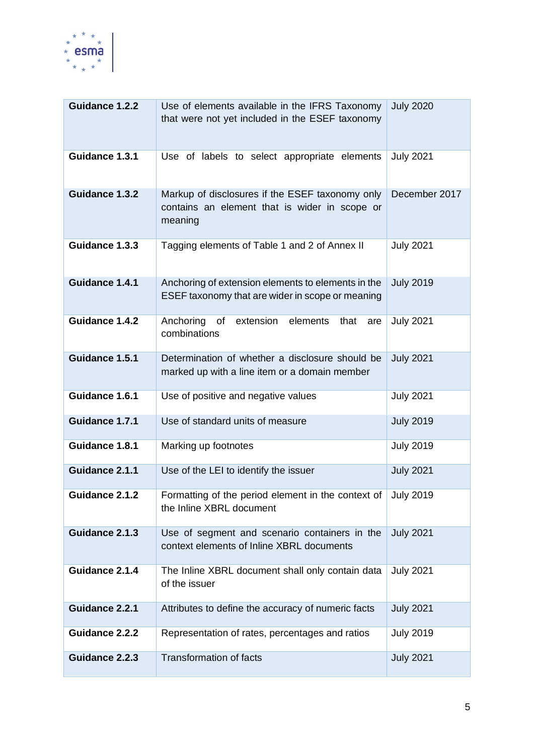

| <b>Guidance 1.2.2</b>                                                                                        | Use of elements available in the IFRS Taxonomy<br>that were not yet included in the ESEF taxonomy      | <b>July 2020</b> |
|--------------------------------------------------------------------------------------------------------------|--------------------------------------------------------------------------------------------------------|------------------|
| Guidance 1.3.1                                                                                               | <b>July 2021</b>                                                                                       |                  |
| Guidance 1.3.2                                                                                               | December 2017                                                                                          |                  |
| Guidance 1.3.3                                                                                               | <b>July 2021</b>                                                                                       |                  |
| Guidance 1.4.1                                                                                               | Anchoring of extension elements to elements in the<br>ESEF taxonomy that are wider in scope or meaning | <b>July 2019</b> |
| Guidance 1.4.2                                                                                               | Anchoring<br>of extension<br>elements<br>that<br>are<br>combinations                                   | <b>July 2021</b> |
| Guidance 1.5.1                                                                                               | Determination of whether a disclosure should be<br>marked up with a line item or a domain member       | <b>July 2021</b> |
| Guidance 1.6.1<br>Use of positive and negative values                                                        |                                                                                                        | <b>July 2021</b> |
| Guidance 1.7.1                                                                                               | Use of standard units of measure                                                                       | <b>July 2019</b> |
| Guidance 1.8.1                                                                                               | Marking up footnotes                                                                                   | <b>July 2019</b> |
| Guidance 2.1.1                                                                                               | Use of the LEI to identify the issuer                                                                  | <b>July 2021</b> |
| Guidance 2.1.2<br>Formatting of the period element in the context of<br>the Inline XBRL document             |                                                                                                        | <b>July 2019</b> |
| Guidance 2.1.3<br>Use of segment and scenario containers in the<br>context elements of Inline XBRL documents |                                                                                                        | <b>July 2021</b> |
| Guidance 2.1.4<br>The Inline XBRL document shall only contain data<br>of the issuer                          |                                                                                                        | <b>July 2021</b> |
| Guidance 2.2.1                                                                                               | Attributes to define the accuracy of numeric facts                                                     | <b>July 2021</b> |
| Guidance 2.2.2                                                                                               | Representation of rates, percentages and ratios                                                        | <b>July 2019</b> |
| Guidance 2.2.3                                                                                               | <b>Transformation of facts</b>                                                                         | <b>July 2021</b> |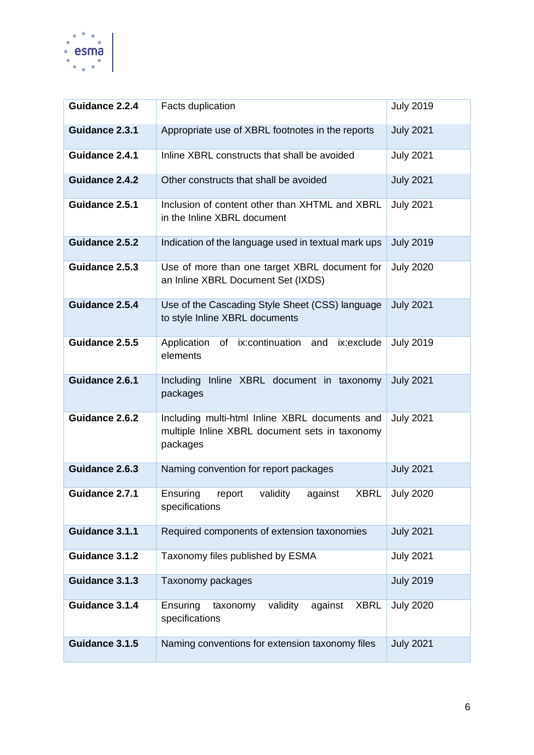

| Guidance 2.2.4                                                                                                                 | <b>Facts duplication</b>                                                            | <b>July 2019</b> |
|--------------------------------------------------------------------------------------------------------------------------------|-------------------------------------------------------------------------------------|------------------|
| Guidance 2.3.1                                                                                                                 | Appropriate use of XBRL footnotes in the reports                                    | <b>July 2021</b> |
| Guidance 2.4.1                                                                                                                 | Inline XBRL constructs that shall be avoided                                        | <b>July 2021</b> |
| <b>Guidance 2.4.2</b>                                                                                                          | Other constructs that shall be avoided                                              | <b>July 2021</b> |
| Guidance 2.5.1<br>Inclusion of content other than XHTML and XBRL<br>in the Inline XBRL document                                |                                                                                     | <b>July 2021</b> |
| Guidance 2.5.2<br>Indication of the language used in textual mark ups                                                          |                                                                                     | <b>July 2019</b> |
| Guidance 2.5.3                                                                                                                 | Use of more than one target XBRL document for<br>an Inline XBRL Document Set (IXDS) | <b>July 2020</b> |
| Guidance 2.5.4<br>Use of the Cascading Style Sheet (CSS) language<br>to style Inline XBRL documents                            |                                                                                     | <b>July 2021</b> |
| Guidance 2.5.5                                                                                                                 | Application<br>of ix:continuation<br>ix:exclude<br>and<br>elements                  | <b>July 2019</b> |
| Guidance 2.6.1<br>Including<br>Inline XBRL document in taxonomy<br>packages                                                    |                                                                                     | <b>July 2021</b> |
| Guidance 2.6.2<br>Including multi-html Inline XBRL documents and<br>multiple Inline XBRL document sets in taxonomy<br>packages |                                                                                     | <b>July 2021</b> |
| Guidance 2.6.3<br>Naming convention for report packages                                                                        |                                                                                     | <b>July 2021</b> |
| Guidance 2.7.1                                                                                                                 | validity<br>Ensuring<br>against<br><b>XBRL</b><br>report<br>specifications          | <b>July 2020</b> |
| Guidance 3.1.1                                                                                                                 | Required components of extension taxonomies                                         | <b>July 2021</b> |
| Guidance 3.1.2                                                                                                                 | Taxonomy files published by ESMA                                                    | <b>July 2021</b> |
| Guidance 3.1.3                                                                                                                 | Taxonomy packages                                                                   | <b>July 2019</b> |
| Guidance 3.1.4                                                                                                                 | Ensuring<br>validity<br>against<br><b>XBRL</b><br>taxonomy<br>specifications        | <b>July 2020</b> |
| Guidance 3.1.5                                                                                                                 | Naming conventions for extension taxonomy files                                     | <b>July 2021</b> |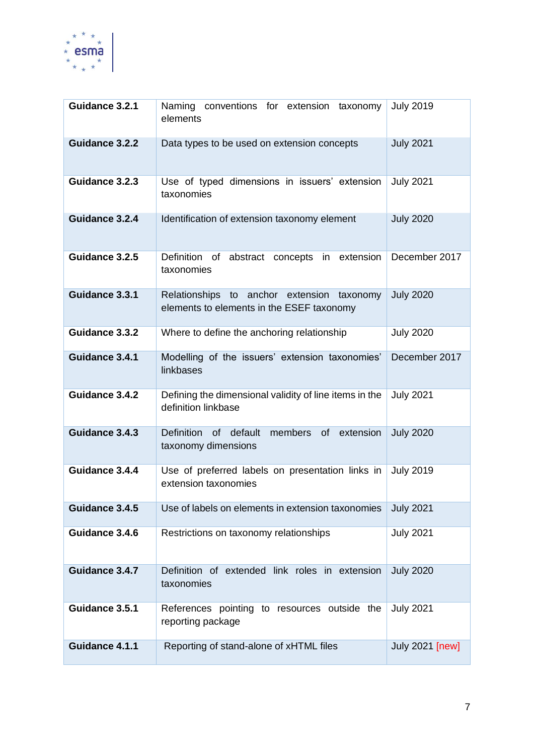

| Guidance 3.2.1                                                                                         | Naming conventions for extension<br>taxonomy<br>elements                                | <b>July 2019</b> |
|--------------------------------------------------------------------------------------------------------|-----------------------------------------------------------------------------------------|------------------|
| Guidance 3.2.2                                                                                         | Data types to be used on extension concepts                                             | <b>July 2021</b> |
| Guidance 3.2.3                                                                                         | Use of typed dimensions in issuers' extension<br>taxonomies                             | <b>July 2021</b> |
| Guidance 3.2.4                                                                                         | Identification of extension taxonomy element                                            | <b>July 2020</b> |
| Guidance 3.2.5                                                                                         | Definition of abstract concepts in extension<br>taxonomies                              | December 2017    |
| Guidance 3.3.1                                                                                         | Relationships to anchor extension taxonomy<br>elements to elements in the ESEF taxonomy | <b>July 2020</b> |
| Guidance 3.3.2                                                                                         | Where to define the anchoring relationship                                              | <b>July 2020</b> |
| Guidance 3.4.1                                                                                         | Modelling of the issuers' extension taxonomies'<br>linkbases                            | December 2017    |
| Guidance 3.4.2                                                                                         | Defining the dimensional validity of line items in the<br>definition linkbase           | <b>July 2021</b> |
| Guidance 3.4.3<br><b>Definition</b><br>of default<br>members<br>of<br>extension<br>taxonomy dimensions |                                                                                         | <b>July 2020</b> |
| Guidance 3.4.4                                                                                         | Use of preferred labels on presentation links in<br>extension taxonomies                | <b>July 2019</b> |
| Guidance 3.4.5                                                                                         | Use of labels on elements in extension taxonomies                                       | <b>July 2021</b> |
| Guidance 3.4.6                                                                                         | Restrictions on taxonomy relationships                                                  | <b>July 2021</b> |
| Guidance 3.4.7                                                                                         | Definition of extended link roles in extension<br>taxonomies                            | <b>July 2020</b> |
| Guidance 3.5.1                                                                                         | References pointing to resources outside the<br>reporting package                       | <b>July 2021</b> |
| Guidance 4.1.1                                                                                         | Reporting of stand-alone of xHTML files                                                 | July 2021 [new]  |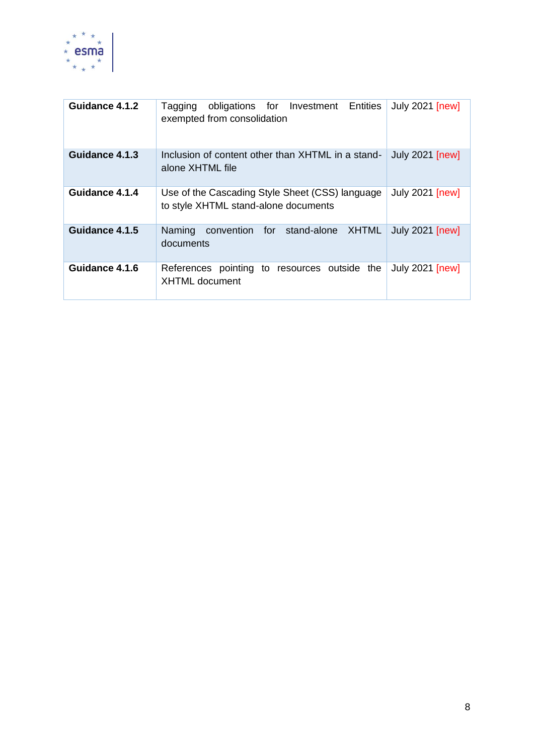

<span id="page-7-0"></span>

| Guidance 4.1.2 | obligations for Investment Entities<br>Tagging<br>exempted from consolidation                                     | <b>July 2021 [new]</b> |  |
|----------------|-------------------------------------------------------------------------------------------------------------------|------------------------|--|
| Guidance 4.1.3 | <b>July 2021 [new]</b><br>Inclusion of content other than XHTML in a stand-<br>alone XHTML file                   |                        |  |
| Guidance 4.1.4 | <b>July 2021 [new]</b><br>Use of the Cascading Style Sheet (CSS) language<br>to style XHTML stand-alone documents |                        |  |
| Guidance 4.1.5 | Naming<br>convention for stand-alone<br>XHTML<br>documents                                                        | <b>July 2021 [new]</b> |  |
| Guidance 4.1.6 | References pointing to resources outside the<br><b>XHTML</b> document                                             | <b>July 2021 [new]</b> |  |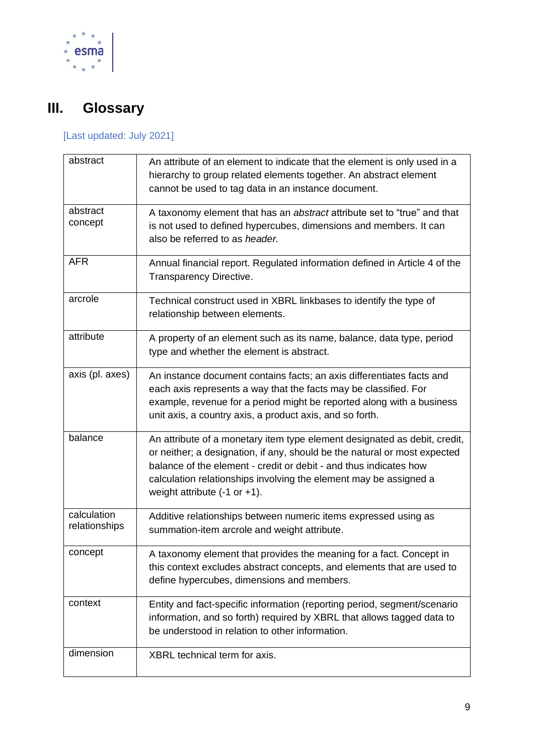

## **III. Glossary**

## [Last updated: July 2021]

| abstract                     | An attribute of an element to indicate that the element is only used in a<br>hierarchy to group related elements together. An abstract element<br>cannot be used to tag data in an instance document.                                                                                                                                        |
|------------------------------|----------------------------------------------------------------------------------------------------------------------------------------------------------------------------------------------------------------------------------------------------------------------------------------------------------------------------------------------|
| abstract<br>concept          | A taxonomy element that has an abstract attribute set to "true" and that<br>is not used to defined hypercubes, dimensions and members. It can<br>also be referred to as header.                                                                                                                                                              |
| <b>AFR</b>                   | Annual financial report. Regulated information defined in Article 4 of the<br>Transparency Directive.                                                                                                                                                                                                                                        |
| arcrole                      | Technical construct used in XBRL linkbases to identify the type of<br>relationship between elements.                                                                                                                                                                                                                                         |
| attribute                    | A property of an element such as its name, balance, data type, period<br>type and whether the element is abstract.                                                                                                                                                                                                                           |
| axis (pl. axes)              | An instance document contains facts; an axis differentiates facts and<br>each axis represents a way that the facts may be classified. For<br>example, revenue for a period might be reported along with a business<br>unit axis, a country axis, a product axis, and so forth.                                                               |
| balance                      | An attribute of a monetary item type element designated as debit, credit,<br>or neither; a designation, if any, should be the natural or most expected<br>balance of the element - credit or debit - and thus indicates how<br>calculation relationships involving the element may be assigned a<br>weight attribute $(-1 \text{ or } +1)$ . |
| calculation<br>relationships | Additive relationships between numeric items expressed using as<br>summation-item arcrole and weight attribute.                                                                                                                                                                                                                              |
| concept                      | A taxonomy element that provides the meaning for a fact. Concept in<br>this context excludes abstract concepts, and elements that are used to<br>define hypercubes, dimensions and members.                                                                                                                                                  |
| context                      | Entity and fact-specific information (reporting period, segment/scenario<br>information, and so forth) required by XBRL that allows tagged data to<br>be understood in relation to other information.                                                                                                                                        |
| dimension                    | XBRL technical term for axis.                                                                                                                                                                                                                                                                                                                |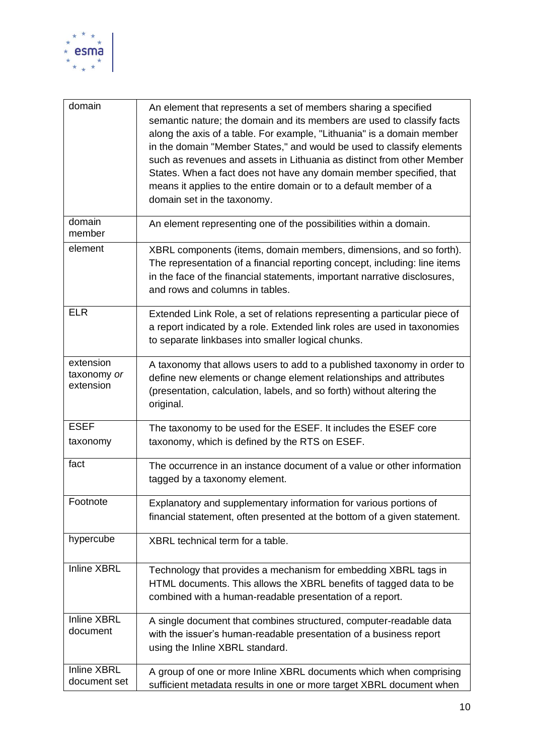

| domain                                | An element that represents a set of members sharing a specified<br>semantic nature; the domain and its members are used to classify facts<br>along the axis of a table. For example, "Lithuania" is a domain member<br>in the domain "Member States," and would be used to classify elements<br>such as revenues and assets in Lithuania as distinct from other Member<br>States. When a fact does not have any domain member specified, that<br>means it applies to the entire domain or to a default member of a<br>domain set in the taxonomy. |
|---------------------------------------|---------------------------------------------------------------------------------------------------------------------------------------------------------------------------------------------------------------------------------------------------------------------------------------------------------------------------------------------------------------------------------------------------------------------------------------------------------------------------------------------------------------------------------------------------|
| domain<br>member                      | An element representing one of the possibilities within a domain.                                                                                                                                                                                                                                                                                                                                                                                                                                                                                 |
| element                               | XBRL components (items, domain members, dimensions, and so forth).<br>The representation of a financial reporting concept, including: line items<br>in the face of the financial statements, important narrative disclosures,<br>and rows and columns in tables.                                                                                                                                                                                                                                                                                  |
| <b>ELR</b>                            | Extended Link Role, a set of relations representing a particular piece of<br>a report indicated by a role. Extended link roles are used in taxonomies<br>to separate linkbases into smaller logical chunks.                                                                                                                                                                                                                                                                                                                                       |
| extension<br>taxonomy or<br>extension | A taxonomy that allows users to add to a published taxonomy in order to<br>define new elements or change element relationships and attributes<br>(presentation, calculation, labels, and so forth) without altering the<br>original.                                                                                                                                                                                                                                                                                                              |
| <b>ESEF</b><br>taxonomy               | The taxonomy to be used for the ESEF. It includes the ESEF core<br>taxonomy, which is defined by the RTS on ESEF.                                                                                                                                                                                                                                                                                                                                                                                                                                 |
| fact                                  | The occurrence in an instance document of a value or other information<br>tagged by a taxonomy element.                                                                                                                                                                                                                                                                                                                                                                                                                                           |
| Footnote                              | Explanatory and supplementary information for various portions of<br>financial statement, often presented at the bottom of a given statement.                                                                                                                                                                                                                                                                                                                                                                                                     |
| hypercube                             | XBRL technical term for a table.                                                                                                                                                                                                                                                                                                                                                                                                                                                                                                                  |
| <b>Inline XBRL</b>                    | Technology that provides a mechanism for embedding XBRL tags in<br>HTML documents. This allows the XBRL benefits of tagged data to be<br>combined with a human-readable presentation of a report.                                                                                                                                                                                                                                                                                                                                                 |
| <b>Inline XBRL</b><br>document        | A single document that combines structured, computer-readable data<br>with the issuer's human-readable presentation of a business report<br>using the Inline XBRL standard.                                                                                                                                                                                                                                                                                                                                                                       |
| <b>Inline XBRL</b><br>document set    | A group of one or more Inline XBRL documents which when comprising<br>sufficient metadata results in one or more target XBRL document when                                                                                                                                                                                                                                                                                                                                                                                                        |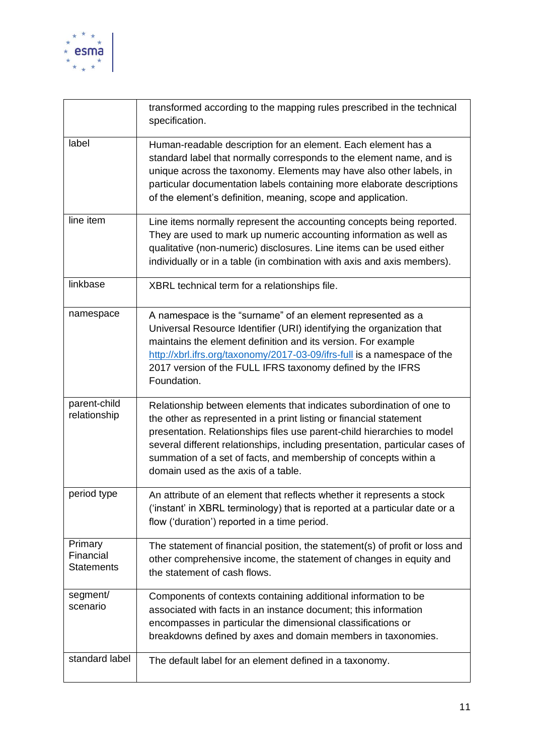

|                                           | transformed according to the mapping rules prescribed in the technical<br>specification.                                                                                                                                                                                                                                                                                                                         |
|-------------------------------------------|------------------------------------------------------------------------------------------------------------------------------------------------------------------------------------------------------------------------------------------------------------------------------------------------------------------------------------------------------------------------------------------------------------------|
| label                                     | Human-readable description for an element. Each element has a<br>standard label that normally corresponds to the element name, and is<br>unique across the taxonomy. Elements may have also other labels, in<br>particular documentation labels containing more elaborate descriptions<br>of the element's definition, meaning, scope and application.                                                           |
| line item                                 | Line items normally represent the accounting concepts being reported.<br>They are used to mark up numeric accounting information as well as<br>qualitative (non-numeric) disclosures. Line items can be used either<br>individually or in a table (in combination with axis and axis members).                                                                                                                   |
| linkbase                                  | XBRL technical term for a relationships file.                                                                                                                                                                                                                                                                                                                                                                    |
| namespace                                 | A namespace is the "surname" of an element represented as a<br>Universal Resource Identifier (URI) identifying the organization that<br>maintains the element definition and its version. For example<br>http://xbrl.ifrs.org/taxonomy/2017-03-09/ifrs-full is a namespace of the<br>2017 version of the FULL IFRS taxonomy defined by the IFRS<br>Foundation.                                                   |
| parent-child<br>relationship              | Relationship between elements that indicates subordination of one to<br>the other as represented in a print listing or financial statement<br>presentation. Relationships files use parent-child hierarchies to model<br>several different relationships, including presentation, particular cases of<br>summation of a set of facts, and membership of concepts within a<br>domain used as the axis of a table. |
| period type                               | An attribute of an element that reflects whether it represents a stock<br>('instant' in XBRL terminology) that is reported at a particular date or a<br>flow ('duration') reported in a time period.                                                                                                                                                                                                             |
| Primary<br>Financial<br><b>Statements</b> | The statement of financial position, the statement(s) of profit or loss and<br>other comprehensive income, the statement of changes in equity and<br>the statement of cash flows.                                                                                                                                                                                                                                |
| segment/<br>scenario                      | Components of contexts containing additional information to be<br>associated with facts in an instance document; this information<br>encompasses in particular the dimensional classifications or<br>breakdowns defined by axes and domain members in taxonomies.                                                                                                                                                |
| standard label                            | The default label for an element defined in a taxonomy.                                                                                                                                                                                                                                                                                                                                                          |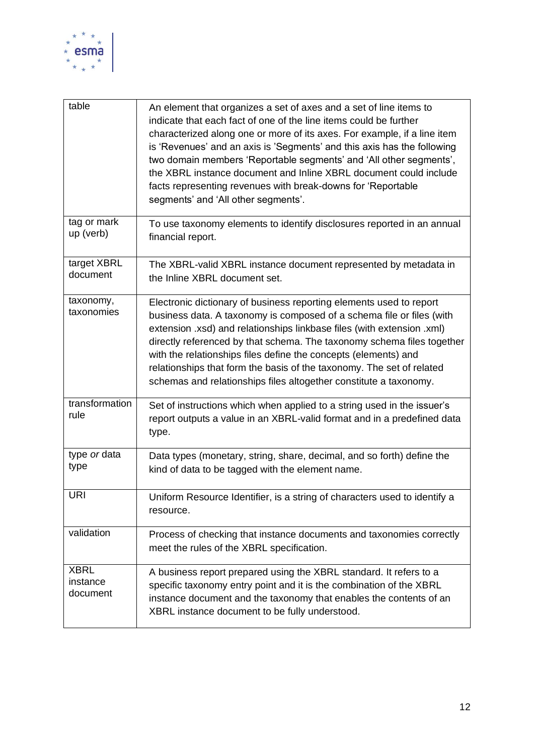

| table                               | An element that organizes a set of axes and a set of line items to<br>indicate that each fact of one of the line items could be further<br>characterized along one or more of its axes. For example, if a line item<br>is 'Revenues' and an axis is 'Segments' and this axis has the following<br>two domain members 'Reportable segments' and 'All other segments',<br>the XBRL instance document and Inline XBRL document could include<br>facts representing revenues with break-downs for 'Reportable<br>segments' and 'All other segments'. |
|-------------------------------------|--------------------------------------------------------------------------------------------------------------------------------------------------------------------------------------------------------------------------------------------------------------------------------------------------------------------------------------------------------------------------------------------------------------------------------------------------------------------------------------------------------------------------------------------------|
| tag or mark<br>up (verb)            | To use taxonomy elements to identify disclosures reported in an annual<br>financial report.                                                                                                                                                                                                                                                                                                                                                                                                                                                      |
| target XBRL<br>document             | The XBRL-valid XBRL instance document represented by metadata in<br>the Inline XBRL document set.                                                                                                                                                                                                                                                                                                                                                                                                                                                |
| taxonomy,<br>taxonomies             | Electronic dictionary of business reporting elements used to report<br>business data. A taxonomy is composed of a schema file or files (with<br>extension .xsd) and relationships linkbase files (with extension .xml)<br>directly referenced by that schema. The taxonomy schema files together<br>with the relationships files define the concepts (elements) and<br>relationships that form the basis of the taxonomy. The set of related<br>schemas and relationships files altogether constitute a taxonomy.                                |
| transformation<br>rule              | Set of instructions which when applied to a string used in the issuer's<br>report outputs a value in an XBRL-valid format and in a predefined data<br>type.                                                                                                                                                                                                                                                                                                                                                                                      |
| type or data<br>type                | Data types (monetary, string, share, decimal, and so forth) define the<br>kind of data to be tagged with the element name.                                                                                                                                                                                                                                                                                                                                                                                                                       |
| <b>URI</b>                          | Uniform Resource Identifier, is a string of characters used to identify a<br>resource.                                                                                                                                                                                                                                                                                                                                                                                                                                                           |
| validation                          | Process of checking that instance documents and taxonomies correctly<br>meet the rules of the XBRL specification.                                                                                                                                                                                                                                                                                                                                                                                                                                |
| <b>XBRL</b><br>instance<br>document | A business report prepared using the XBRL standard. It refers to a<br>specific taxonomy entry point and it is the combination of the XBRL<br>instance document and the taxonomy that enables the contents of an<br>XBRL instance document to be fully understood.                                                                                                                                                                                                                                                                                |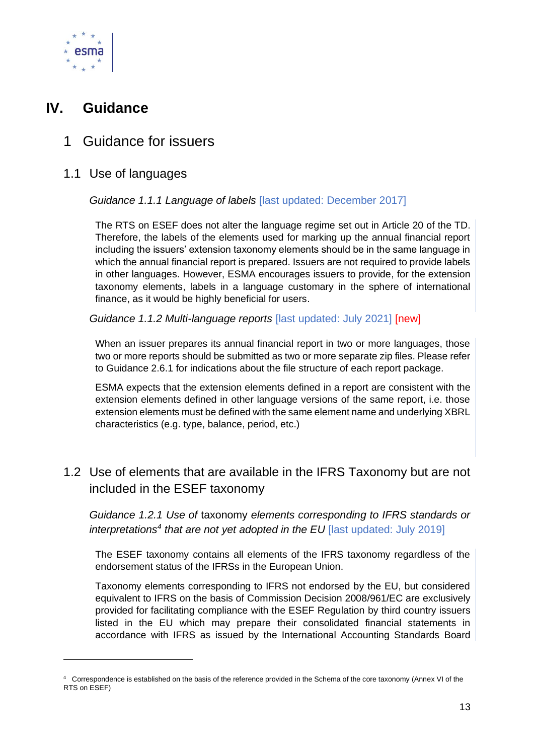

## <span id="page-12-0"></span>**IV. Guidance**

## <span id="page-12-1"></span>1 Guidance for issuers

#### <span id="page-12-2"></span>1.1 Use of languages

#### *Guidance 1.1.1 Language of labels* [last updated: December 2017]

The RTS on ESEF does not alter the language regime set out in Article 20 of the TD. Therefore, the labels of the elements used for marking up the annual financial report including the issuers' extension taxonomy elements should be in the same language in which the annual financial report is prepared. Issuers are not required to provide labels in other languages. However, ESMA encourages issuers to provide, for the extension taxonomy elements, labels in a language customary in the sphere of international finance, as it would be highly beneficial for users.

#### *Guidance 1.1.2 Multi-language reports* [last updated: July 2021] [new]

When an issuer prepares its annual financial report in two or more languages, those two or more reports should be submitted as two or more separate zip files. Please refer to Guidance 2.6.1 for indications about the file structure of each report package.

ESMA expects that the extension elements defined in a report are consistent with the extension elements defined in other language versions of the same report, i.e. those extension elements must be defined with the same element name and underlying XBRL characteristics (e.g. type, balance, period, etc.)

### <span id="page-12-3"></span>1.2 Use of elements that are available in the IFRS Taxonomy but are not included in the ESEF taxonomy

*Guidance 1.2.1 Use of* taxonomy *elements corresponding to IFRS standards or interpretations<sup>4</sup> that are not yet adopted in the EU* [last updated: July 2019]

The ESEF taxonomy contains all elements of the IFRS taxonomy regardless of the endorsement status of the IFRSs in the European Union.

Taxonomy elements corresponding to IFRS not endorsed by the EU, but considered equivalent to IFRS on the basis of Commission Decision 2008/961/EC are exclusively provided for facilitating compliance with the ESEF Regulation by third country issuers listed in the EU which may prepare their consolidated financial statements in accordance with IFRS as issued by the International Accounting Standards Board

<sup>4</sup> Correspondence is established on the basis of the reference provided in the Schema of the core taxonomy (Annex VI of the RTS on ESEF)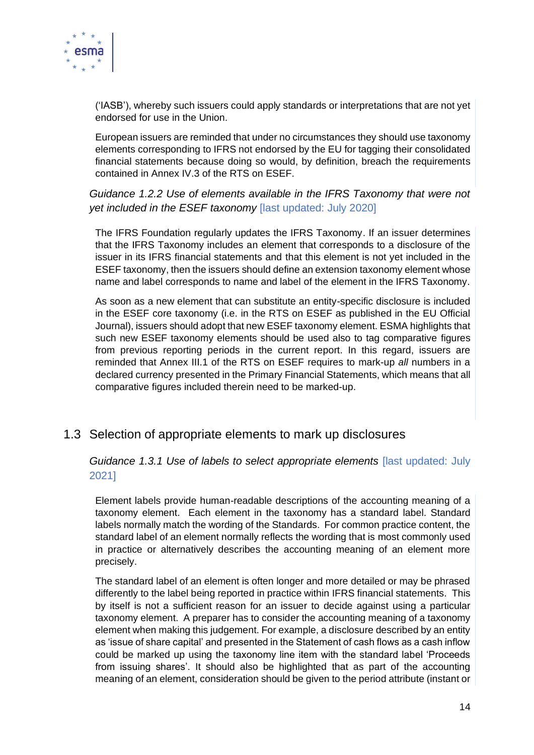

('IASB'), whereby such issuers could apply standards or interpretations that are not yet endorsed for use in the Union.

European issuers are reminded that under no circumstances they should use taxonomy elements corresponding to IFRS not endorsed by the EU for tagging their consolidated financial statements because doing so would, by definition, breach the requirements contained in Annex IV.3 of the RTS on ESEF.

*Guidance 1.2.2 Use of elements available in the IFRS Taxonomy that were not yet included in the ESEF taxonomy* [last updated: July 2020]

The IFRS Foundation regularly updates the IFRS Taxonomy. If an issuer determines that the IFRS Taxonomy includes an element that corresponds to a disclosure of the issuer in its IFRS financial statements and that this element is not yet included in the ESEF taxonomy, then the issuers should define an extension taxonomy element whose name and label corresponds to name and label of the element in the IFRS Taxonomy.

As soon as a new element that can substitute an entity-specific disclosure is included in the ESEF core taxonomy (i.e. in the RTS on ESEF as published in the EU Official Journal), issuers should adopt that new ESEF taxonomy element. ESMA highlights that such new ESEF taxonomy elements should be used also to tag comparative figures from previous reporting periods in the current report. In this regard, issuers are reminded that Annex III.1 of the RTS on ESEF requires to mark-up *all* numbers in a declared currency presented in the Primary Financial Statements, which means that all comparative figures included therein need to be marked-up.

#### <span id="page-13-0"></span>1.3 Selection of appropriate elements to mark up disclosures

*Guidance 1.3.1 Use of labels to select appropriate elements* [last updated: July 2021]

Element labels provide human-readable descriptions of the accounting meaning of a taxonomy element. Each element in the taxonomy has a standard label. Standard labels normally match the wording of the Standards. For common practice content, the standard label of an element normally reflects the wording that is most commonly used in practice or alternatively describes the accounting meaning of an element more precisely.

The standard label of an element is often longer and more detailed or may be phrased differently to the label being reported in practice within IFRS financial statements. This by itself is not a sufficient reason for an issuer to decide against using a particular taxonomy element. A preparer has to consider the accounting meaning of a taxonomy element when making this judgement. For example, a disclosure described by an entity as 'issue of share capital' and presented in the Statement of cash flows as a cash inflow could be marked up using the taxonomy line item with the standard label 'Proceeds from issuing shares'. It should also be highlighted that as part of the accounting meaning of an element, consideration should be given to the period attribute (instant or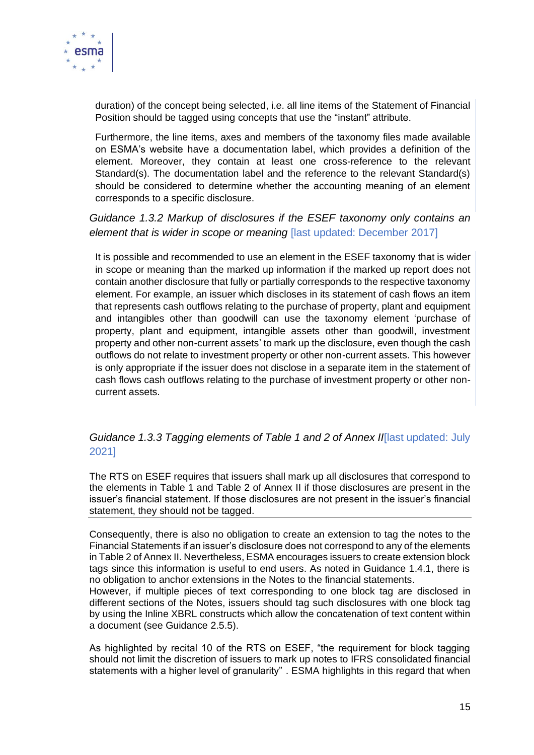

duration) of the concept being selected, i.e. all line items of the Statement of Financial Position should be tagged using concepts that use the "instant" attribute.

Furthermore, the line items, axes and members of the taxonomy files made available on ESMA's website have a documentation label, which provides a definition of the element. Moreover, they contain at least one cross-reference to the relevant Standard(s). The documentation label and the reference to the relevant Standard(s) should be considered to determine whether the accounting meaning of an element corresponds to a specific disclosure.

*Guidance 1.3.2 Markup of disclosures if the ESEF taxonomy only contains an element that is wider in scope or meaning* [last updated: December 2017]

It is possible and recommended to use an element in the ESEF taxonomy that is wider in scope or meaning than the marked up information if the marked up report does not contain another disclosure that fully or partially corresponds to the respective taxonomy element. For example, an issuer which discloses in its statement of cash flows an item that represents cash outflows relating to the purchase of property, plant and equipment and intangibles other than goodwill can use the taxonomy element 'purchase of property, plant and equipment, intangible assets other than goodwill, investment property and other non-current assets' to mark up the disclosure, even though the cash outflows do not relate to investment property or other non-current assets. This however is only appropriate if the issuer does not disclose in a separate item in the statement of cash flows cash outflows relating to the purchase of investment property or other noncurrent assets.

#### *Guidance 1.3.3 Tagging elements of Table 1 and 2 of Annex II*[last updated: July 2021]

The RTS on ESEF requires that issuers shall mark up all disclosures that correspond to the elements in Table 1 and Table 2 of Annex II if those disclosures are present in the issuer's financial statement. If those disclosures are not present in the issuer's financial statement, they should not be tagged.

Consequently, there is also no obligation to create an extension to tag the notes to the Financial Statements if an issuer's disclosure does not correspond to any of the elements in Table 2 of Annex II. Nevertheless, ESMA encourages issuers to create extension block tags since this information is useful to end users. As noted in Guidance 1.4.1, there is no obligation to anchor extensions in the Notes to the financial statements.

However, if multiple pieces of text corresponding to one block tag are disclosed in different sections of the Notes, issuers should tag such disclosures with one block tag by using the Inline XBRL constructs which allow the concatenation of text content within a document (see Guidance 2.5.5).

As highlighted by recital 10 of the RTS on ESEF, "the requirement for block tagging should not limit the discretion of issuers to mark up notes to IFRS consolidated financial statements with a higher level of granularity" . ESMA highlights in this regard that when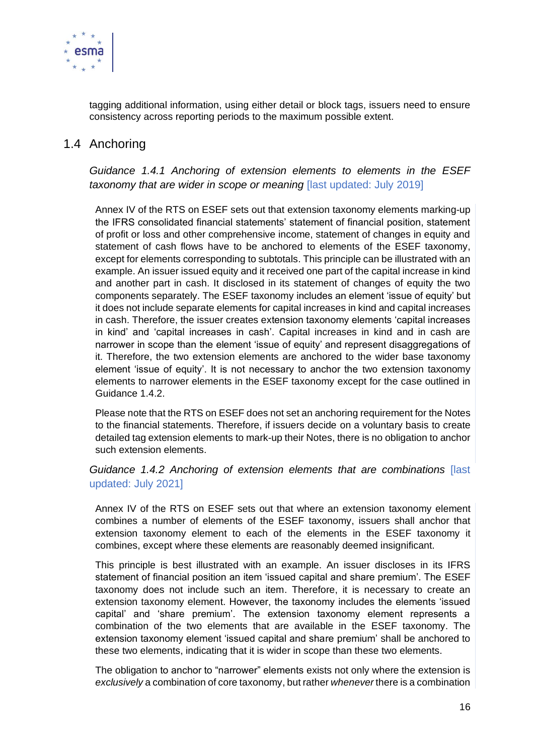

tagging additional information, using either detail or block tags, issuers need to ensure consistency across reporting periods to the maximum possible extent.

#### <span id="page-15-0"></span>1.4 Anchoring

*Guidance 1.4.1 Anchoring of extension elements to elements in the ESEF taxonomy that are wider in scope or meaning* [last updated: July 2019]

Annex IV of the RTS on ESEF sets out that extension taxonomy elements marking-up the IFRS consolidated financial statements' statement of financial position, statement of profit or loss and other comprehensive income, statement of changes in equity and statement of cash flows have to be anchored to elements of the ESEF taxonomy, except for elements corresponding to subtotals. This principle can be illustrated with an example. An issuer issued equity and it received one part of the capital increase in kind and another part in cash. It disclosed in its statement of changes of equity the two components separately. The ESEF taxonomy includes an element 'issue of equity' but it does not include separate elements for capital increases in kind and capital increases in cash. Therefore, the issuer creates extension taxonomy elements 'capital increases in kind' and 'capital increases in cash'. Capital increases in kind and in cash are narrower in scope than the element 'issue of equity' and represent disaggregations of it. Therefore, the two extension elements are anchored to the wider base taxonomy element 'issue of equity'. It is not necessary to anchor the two extension taxonomy elements to narrower elements in the ESEF taxonomy except for the case outlined in Guidance 1.4.2.

Please note that the RTS on ESEF does not set an anchoring requirement for the Notes to the financial statements. Therefore, if issuers decide on a voluntary basis to create detailed tag extension elements to mark-up their Notes, there is no obligation to anchor such extension elements.

*Guidance 1.4.2 Anchoring of extension elements that are combinations* [last updated: July 2021]

Annex IV of the RTS on ESEF sets out that where an extension taxonomy element combines a number of elements of the ESEF taxonomy, issuers shall anchor that extension taxonomy element to each of the elements in the ESEF taxonomy it combines, except where these elements are reasonably deemed insignificant.

This principle is best illustrated with an example. An issuer discloses in its IFRS statement of financial position an item 'issued capital and share premium'. The ESEF taxonomy does not include such an item. Therefore, it is necessary to create an extension taxonomy element. However, the taxonomy includes the elements 'issued capital' and 'share premium'. The extension taxonomy element represents a combination of the two elements that are available in the ESEF taxonomy. The extension taxonomy element 'issued capital and share premium' shall be anchored to these two elements, indicating that it is wider in scope than these two elements.

The obligation to anchor to "narrower" elements exists not only where the extension is *exclusively* a combination of core taxonomy, but rather *whenever* there is a combination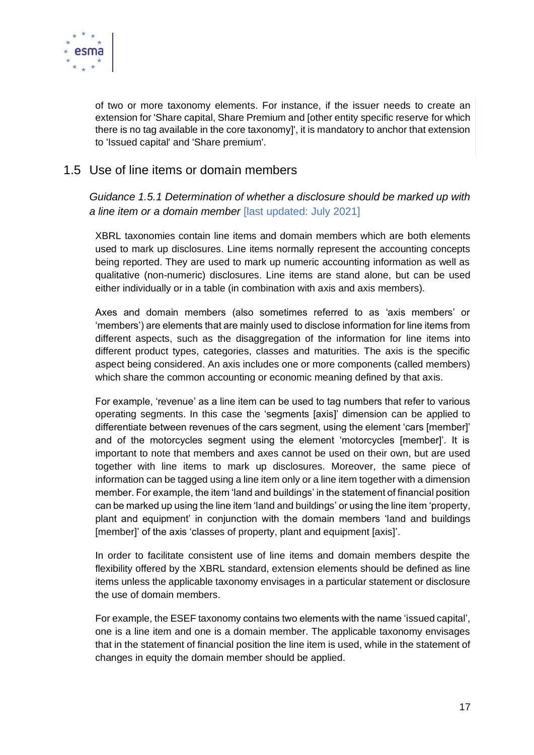

of two or more taxonomy elements. For instance, if the issuer needs to create an extension for 'Share capital, Share Premium and [other entity specific reserve for which there is no tag available in the core taxonomy]', it is mandatory to anchor that extension to 'Issued capital' and 'Share premium'.

#### <span id="page-16-0"></span>1.5 Use of line items or domain members

*Guidance 1.5.1 Determination of whether a disclosure should be marked up with a line item or a domain member* [last updated: July 2021]

XBRL taxonomies contain line items and domain members which are both elements used to mark up disclosures. Line items normally represent the accounting concepts being reported. They are used to mark up numeric accounting information as well as qualitative (non-numeric) disclosures. Line items are stand alone, but can be used either individually or in a table (in combination with axis and axis members).

Axes and domain members (also sometimes referred to as 'axis members' or 'members') are elements that are mainly used to disclose information for line items from different aspects, such as the disaggregation of the information for line items into different product types, categories, classes and maturities. The axis is the specific aspect being considered. An axis includes one or more components (called members) which share the common accounting or economic meaning defined by that axis.

For example, 'revenue' as a line item can be used to tag numbers that refer to various operating segments. In this case the 'segments [axis]' dimension can be applied to differentiate between revenues of the cars segment, using the element 'cars [member]' and of the motorcycles segment using the element 'motorcycles [member]'. It is important to note that members and axes cannot be used on their own, but are used together with line items to mark up disclosures. Moreover, the same piece of information can be tagged using a line item only or a line item together with a dimension member. For example, the item 'land and buildings' in the statement of financial position can be marked up using the line item 'land and buildings' or using the line item 'property, plant and equipment' in conjunction with the domain members 'land and buildings [member]' of the axis 'classes of property, plant and equipment [axis]'.

In order to facilitate consistent use of line items and domain members despite the flexibility offered by the XBRL standard, extension elements should be defined as line items unless the applicable taxonomy envisages in a particular statement or disclosure the use of domain members.

For example, the ESEF taxonomy contains two elements with the name 'issued capital', one is a line item and one is a domain member. The applicable taxonomy envisages that in the statement of financial position the line item is used, while in the statement of changes in equity the domain member should be applied.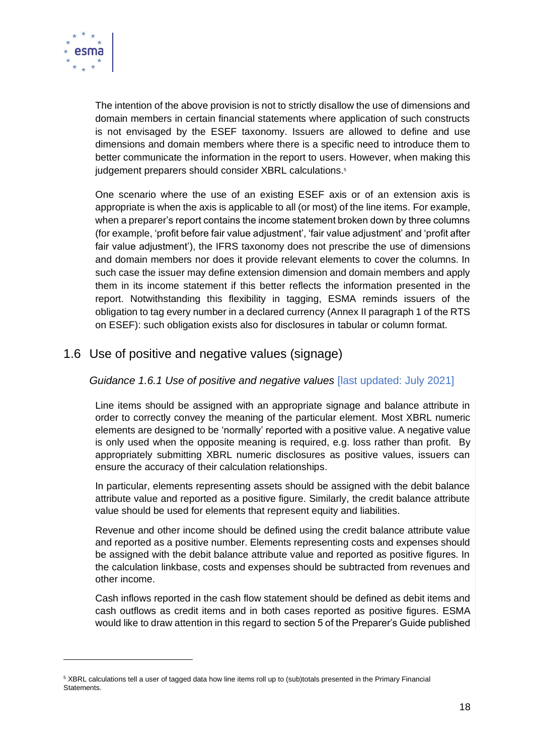

The intention of the above provision is not to strictly disallow the use of dimensions and domain members in certain financial statements where application of such constructs is not envisaged by the ESEF taxonomy. Issuers are allowed to define and use dimensions and domain members where there is a specific need to introduce them to better communicate the information in the report to users. However, when making this judgement preparers should consider XBRL calculations.<sup>5</sup>

One scenario where the use of an existing ESEF axis or of an extension axis is appropriate is when the axis is applicable to all (or most) of the line items. For example, when a preparer's report contains the income statement broken down by three columns (for example, 'profit before fair value adjustment', 'fair value adjustment' and 'profit after fair value adjustment'), the IFRS taxonomy does not prescribe the use of dimensions and domain members nor does it provide relevant elements to cover the columns. In such case the issuer may define extension dimension and domain members and apply them in its income statement if this better reflects the information presented in the report. Notwithstanding this flexibility in tagging, ESMA reminds issuers of the obligation to tag every number in a declared currency (Annex II paragraph 1 of the RTS on ESEF): such obligation exists also for disclosures in tabular or column format.

#### <span id="page-17-0"></span>1.6 Use of positive and negative values (signage)

#### *Guidance 1.6.1 Use of positive and negative values* [last updated: July 2021]

Line items should be assigned with an appropriate signage and balance attribute in order to correctly convey the meaning of the particular element. Most XBRL numeric elements are designed to be 'normally' reported with a positive value. A negative value is only used when the opposite meaning is required, e.g. loss rather than profit. By appropriately submitting XBRL numeric disclosures as positive values, issuers can ensure the accuracy of their calculation relationships.

In particular, elements representing assets should be assigned with the debit balance attribute value and reported as a positive figure. Similarly, the credit balance attribute value should be used for elements that represent equity and liabilities.

Revenue and other income should be defined using the credit balance attribute value and reported as a positive number. Elements representing costs and expenses should be assigned with the debit balance attribute value and reported as positive figures. In the calculation linkbase, costs and expenses should be subtracted from revenues and other income.

Cash inflows reported in the cash flow statement should be defined as debit items and cash outflows as credit items and in both cases reported as positive figures. ESMA would like to draw attention in this regard to section 5 of the Preparer's Guide published

<sup>&</sup>lt;sup>5</sup> XBRL calculations tell a user of tagged data how line items roll up to (sub)totals presented in the Primary Financial Statements.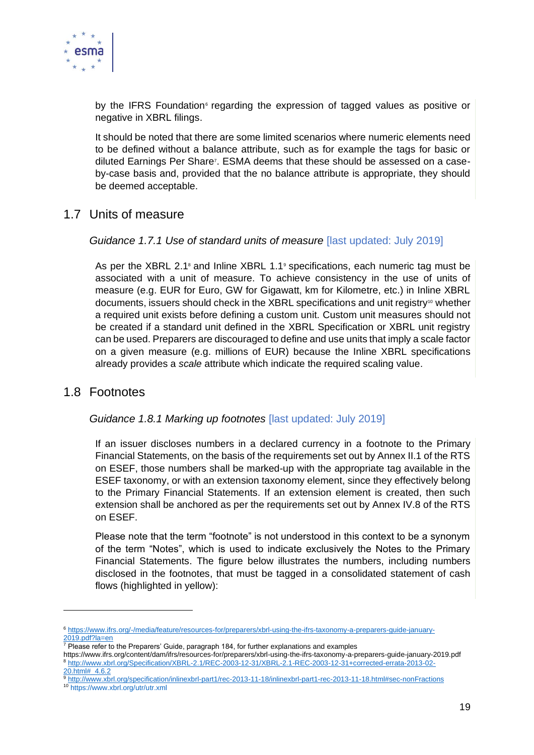

by the IFRS Foundation<sup>®</sup> regarding the expression of tagged values as positive or negative in XBRL filings.

It should be noted that there are some limited scenarios where numeric elements need to be defined without a balance attribute, such as for example the tags for basic or diluted Earnings Per Share<sup>7</sup>. ESMA deems that these should be assessed on a caseby-case basis and, provided that the no balance attribute is appropriate, they should be deemed acceptable.

#### <span id="page-18-0"></span>1.7 Units of measure

#### *Guidance 1.7.1 Use of standard units of measure* [last updated: July 2019]

As per the XBRL 2.1<sup>8</sup> and Inline XBRL 1.1<sup>8</sup> specifications, each numeric tag must be associated with a unit of measure. To achieve consistency in the use of units of measure (e.g. EUR for Euro, GW for Gigawatt, km for Kilometre, etc.) in Inline XBRL documents, issuers should check in the XBRL specifications and unit registry<sup>10</sup> whether a required unit exists before defining a custom unit. Custom unit measures should not be created if a standard unit defined in the XBRL Specification or XBRL unit registry can be used. Preparers are discouraged to define and use units that imply a scale factor on a given measure (e.g. millions of EUR) because the Inline XBRL specifications already provides a *scale* attribute which indicate the required scaling value.

#### <span id="page-18-1"></span>1.8 Footnotes

#### *Guidance 1.8.1 Marking up footnotes* [last updated: July 2019]

If an issuer discloses numbers in a declared currency in a footnote to the Primary Financial Statements, on the basis of the requirements set out by Annex II.1 of the RTS on ESEF, those numbers shall be marked-up with the appropriate tag available in the ESEF taxonomy, or with an extension taxonomy element, since they effectively belong to the Primary Financial Statements. If an extension element is created, then such extension shall be anchored as per the requirements set out by Annex IV.8 of the RTS on ESEF.

Please note that the term "footnote" is not understood in this context to be a synonym of the term "Notes", which is used to indicate exclusively the Notes to the Primary Financial Statements. The figure below illustrates the numbers, including numbers disclosed in the footnotes, that must be tagged in a consolidated statement of cash flows (highlighted in yellow):

<sup>6</sup> [https://www.ifrs.org/-/media/feature/resources-for/preparers/xbrl-using-the-ifrs-taxonomy-a-preparers-guide-january-](https://www.ifrs.org/-/media/feature/resources-for/preparers/xbrl-using-the-ifrs-taxonomy-a-preparers-guide-january-2019.pdf?la=en)[2019.pdf?la=en](https://www.ifrs.org/-/media/feature/resources-for/preparers/xbrl-using-the-ifrs-taxonomy-a-preparers-guide-january-2019.pdf?la=en)

 $7$  Please refer to the Preparers' Guide, paragraph 184, for further explanations and examples

https://www.ifrs.org/content/dam/ifrs/resources-for/preparers/xbrl-using-the-ifrs-taxonomy-a-preparers-guide-january-2019.pdf <sup>8</sup> [http://www.xbrl.org/Specification/XBRL-2.1/REC-2003-12-31/XBRL-2.1-REC-2003-12-31+corrected-errata-2013-02-](http://www.xbrl.org/Specification/XBRL-2.1/REC-2003-12-31/XBRL-2.1-REC-2003-12-31+corrected-errata-2013-02-20.html#_4.6.2)  $\frac{20.$ html#  $\frac{4.6.2}{ }$ 

<sup>9</sup> <http://www.xbrl.org/specification/inlinexbrl-part1/rec-2013-11-18/inlinexbrl-part1-rec-2013-11-18.html#sec-nonFractions>

<sup>10</sup> <https://www.xbrl.org/utr/utr.xml>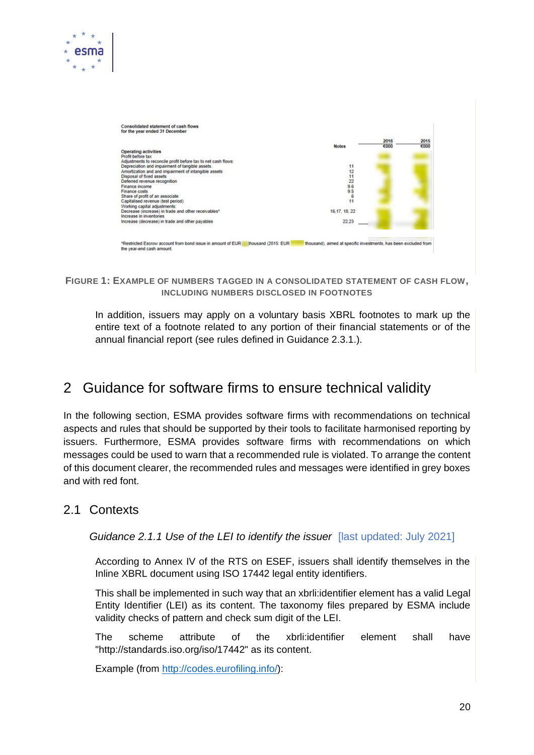

#### **FIGURE 1: EXAMPLE OF NUMBERS TAGGED IN A CONSOLIDATED STATEMENT OF CASH FLOW, INCLUDING NUMBERS DISCLOSED IN FOOTNOTES**

In addition, issuers may apply on a voluntary basis XBRL footnotes to mark up the entire text of a footnote related to any portion of their financial statements or of the annual financial report (see rules defined in Guidance 2.3.1.).

## <span id="page-19-0"></span>2 Guidance for software firms to ensure technical validity

In the following section, ESMA provides software firms with recommendations on technical aspects and rules that should be supported by their tools to facilitate harmonised reporting by issuers. Furthermore, ESMA provides software firms with recommendations on which messages could be used to warn that a recommended rule is violated. To arrange the content of this document clearer, the recommended rules and messages were identified in grey boxes and with red font.

#### <span id="page-19-1"></span>2.1 Contexts

esma

*Guidance 2.1.1 Use of the LEI to identify the issuer* [last updated: July 2021]

According to Annex IV of the RTS on ESEF, issuers shall identify themselves in the Inline XBRL document using ISO 17442 legal entity identifiers.

This shall be implemented in such way that an xbrli:identifier element has a valid Legal Entity Identifier (LEI) as its content. The taxonomy files prepared by ESMA include validity checks of pattern and check sum digit of the LEI.

The scheme attribute of the xbrli:identifier element shall have "http://standards.iso.org/iso/17442" as its content.

Example (from [http://codes.eurofiling.info/\)](http://codes.eurofiling.info/):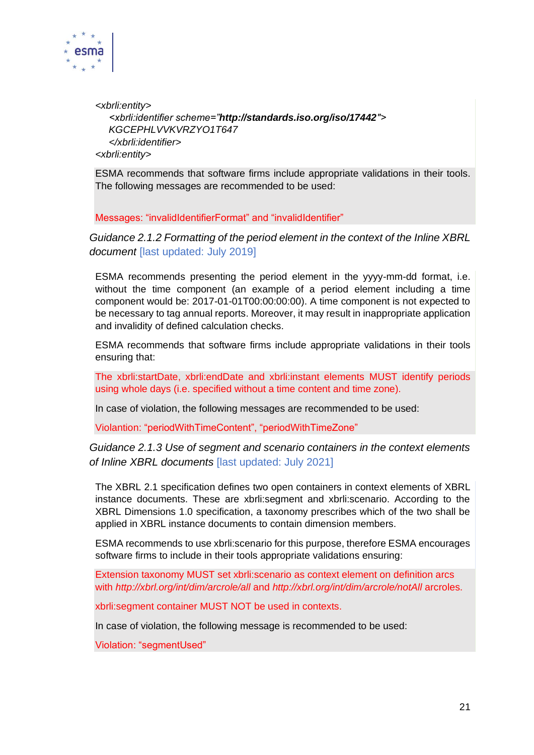

*<xbrli:entity> <xbrli:identifier scheme="http://standards.iso.org/iso/17442″> KGCEPHLVVKVRZYO1T647 </xbrli:identifier> <xbrli:entity>* 

ESMA recommends that software firms include appropriate validations in their tools. The following messages are recommended to be used:

Messages: "invalidIdentifierFormat" and "invalidIdentifier"

*Guidance 2.1.2 Formatting of the period element in the context of the Inline XBRL document* [last updated: July 2019]

ESMA recommends presenting the period element in the yyyy-mm-dd format, i.e. without the time component (an example of a period element including a time component would be: 2017-01-01T00:00:00:00). A time component is not expected to be necessary to tag annual reports. Moreover, it may result in inappropriate application and invalidity of defined calculation checks.

ESMA recommends that software firms include appropriate validations in their tools ensuring that:

The xbrli:startDate, xbrli:endDate and xbrli:instant elements MUST identify periods using whole days (i.e. specified without a time content and time zone).

In case of violation, the following messages are recommended to be used:

Violantion: "periodWithTimeContent", "periodWithTimeZone"

#### *Guidance 2.1.3 Use of segment and scenario containers in the context elements of Inline XBRL documents* [last updated: July 2021]

The XBRL 2.1 specification defines two open containers in context elements of XBRL instance documents. These are xbrli:segment and xbrli:scenario. According to the XBRL Dimensions 1.0 specification, a taxonomy prescribes which of the two shall be applied in XBRL instance documents to contain dimension members.

ESMA recommends to use xbrli:scenario for this purpose, therefore ESMA encourages software firms to include in their tools appropriate validations ensuring:

Extension taxonomy MUST set xbrli:scenario as context element on definition arcs with *http://xbrl.org/int/dim/arcrole/all* and *http://xbrl.org/int/dim/arcrole/notAll* arcroles.

xbrli:segment container MUST NOT be used in contexts.

In case of violation, the following message is recommended to be used:

Violation: "segmentUsed"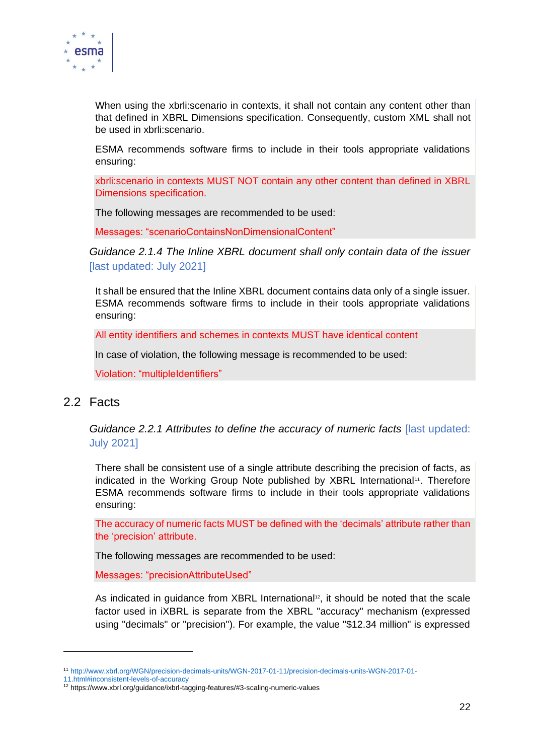

When using the xbrli:scenario in contexts, it shall not contain any content other than that defined in XBRL Dimensions specification. Consequently, custom XML shall not be used in xbrli:scenario.

ESMA recommends software firms to include in their tools appropriate validations ensuring:

xbrli:scenario in contexts MUST NOT contain any other content than defined in XBRL Dimensions specification.

The following messages are recommended to be used:

Messages: "scenarioContainsNonDimensionalContent"

*Guidance 2.1.4 The Inline XBRL document shall only contain data of the issuer*  [last updated: July 2021]

It shall be ensured that the Inline XBRL document contains data only of a single issuer. ESMA recommends software firms to include in their tools appropriate validations ensuring:

All entity identifiers and schemes in contexts MUST have identical content

In case of violation, the following message is recommended to be used:

Violation: "multipleIdentifiers"

#### <span id="page-21-0"></span>2.2 Facts

*Guidance 2.2.1 Attributes to define the accuracy of numeric facts* [last updated: July 2021]

There shall be consistent use of a single attribute describing the precision of facts, as indicated in the Working Group Note published by XBRL International<sup>11</sup>. Therefore ESMA recommends software firms to include in their tools appropriate validations ensuring:

The accuracy of numeric facts MUST be defined with the 'decimals' attribute rather than the 'precision' attribute.

The following messages are recommended to be used:

Messages: "precisionAttributeUsed"

As indicated in guidance from XBRL International<sup>12</sup>, it should be noted that the scale factor used in iXBRL is separate from the XBRL "accuracy" mechanism (expressed using "decimals" or "precision"). For example, the value "\$12.34 million" is expressed

<sup>11</sup> [http://www.xbrl.org/WGN/precision-decimals-units/WGN-2017-01-11/precision-decimals-units-WGN-2017-01-](http://www.xbrl.org/WGN/precision-decimals-units/WGN-2017-01-11/precision-decimals-units-WGN-2017-01-11.html#inconsistent-levels-of-accuracy)

[<sup>11.</sup>html#inconsistent-levels-of-accuracy](http://www.xbrl.org/WGN/precision-decimals-units/WGN-2017-01-11/precision-decimals-units-WGN-2017-01-11.html#inconsistent-levels-of-accuracy)

<sup>12</sup> https://www.xbrl.org/guidance/ixbrl-tagging-features/#3-scaling-numeric-values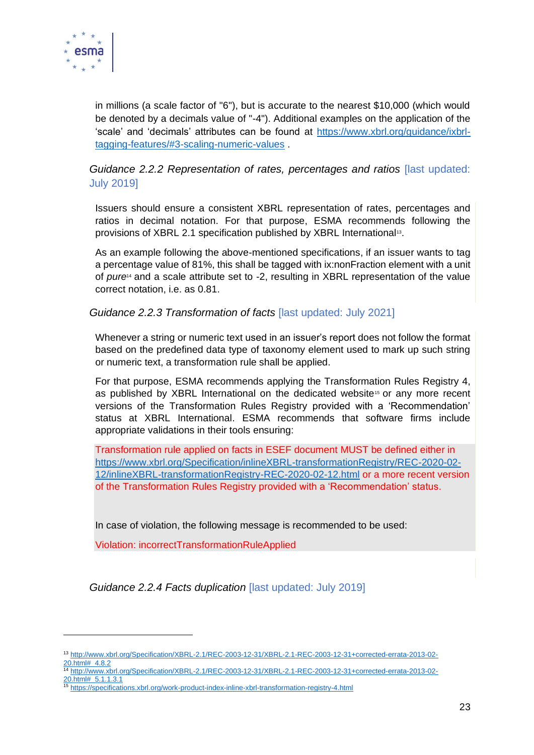

in millions (a scale factor of "6"), but is accurate to the nearest \$10,000 (which would be denoted by a decimals value of "-4"). Additional examples on the application of the 'scale' and 'decimals' attributes can be found at [https://www.xbrl.org/guidance/ixbrl](https://www.xbrl.org/guidance/ixbrl-tagging-features/#3-scaling-numeric-values)[tagging-features/#3-scaling-numeric-values](https://www.xbrl.org/guidance/ixbrl-tagging-features/#3-scaling-numeric-values) .

#### *Guidance 2.2.2 Representation of rates, percentages and ratios* [last updated: July 2019]

Issuers should ensure a consistent XBRL representation of rates, percentages and ratios in decimal notation. For that purpose, ESMA recommends following the provisions of XBRL 2.1 specification published by XBRL International<sup>13</sup>.

As an example following the above-mentioned specifications, if an issuer wants to tag a percentage value of 81%, this shall be tagged with ix:nonFraction element with a unit of *pure*<sup>14</sup> and a scale attribute set to -2, resulting in XBRL representation of the value correct notation, i.e. as 0.81.

#### *Guidance 2.2.3 Transformation of facts* [last updated: July 2021]

Whenever a string or numeric text used in an issuer's report does not follow the format based on the predefined data type of taxonomy element used to mark up such string or numeric text, a transformation rule shall be applied.

For that purpose, ESMA recommends applying the Transformation Rules Registry 4, as published by XBRL International on the dedicated website<sup>15</sup> or any more recent versions of the Transformation Rules Registry provided with a 'Recommendation' status at XBRL International. ESMA recommends that software firms include appropriate validations in their tools ensuring:

Transformation rule applied on facts in ESEF document MUST be defined either in [https://www.xbrl.org/Specification/inlineXBRL-transformationRegistry/REC-2020-02-](https://www.xbrl.org/Specification/inlineXBRL-transformationRegistry/REC-2020-02-12/inlineXBRL-transformationRegistry-REC-2020-02-12.html) [12/inlineXBRL-transformationRegistry-REC-2020-02-12.html](https://www.xbrl.org/Specification/inlineXBRL-transformationRegistry/REC-2020-02-12/inlineXBRL-transformationRegistry-REC-2020-02-12.html) or a more recent version of the Transformation Rules Registry provided with a 'Recommendation' status.

In case of violation, the following message is recommended to be used:

Violation: incorrectTransformationRuleApplied

*Guidance 2.2.4 Facts duplication* [last updated: July 2019]

[20.html#\\_5.1.1.3.1](http://www.xbrl.org/Specification/XBRL-2.1/REC-2003-12-31/XBRL-2.1-REC-2003-12-31+corrected-errata-2013-02-20.html#_5.1.1.3.1)

<sup>13</sup> [http://www.xbrl.org/Specification/XBRL-2.1/REC-2003-12-31/XBRL-2.1-REC-2003-12-31+corrected-errata-2013-02-](http://www.xbrl.org/Specification/XBRL-2.1/REC-2003-12-31/XBRL-2.1-REC-2003-12-31+corrected-errata-2013-02-20.html#_4.8.2) [20.html#\\_4.8.2](http://www.xbrl.org/Specification/XBRL-2.1/REC-2003-12-31/XBRL-2.1-REC-2003-12-31+corrected-errata-2013-02-20.html#_4.8.2)

<sup>14</sup> [http://www.xbrl.org/Specification/XBRL-2.1/REC-2003-12-31/XBRL-2.1-REC-2003-12-31+corrected-errata-2013-02-](http://www.xbrl.org/Specification/XBRL-2.1/REC-2003-12-31/XBRL-2.1-REC-2003-12-31+corrected-errata-2013-02-20.html#_5.1.1.3.1)

<sup>15</sup> <https://specifications.xbrl.org/work-product-index-inline-xbrl-transformation-registry-4.html>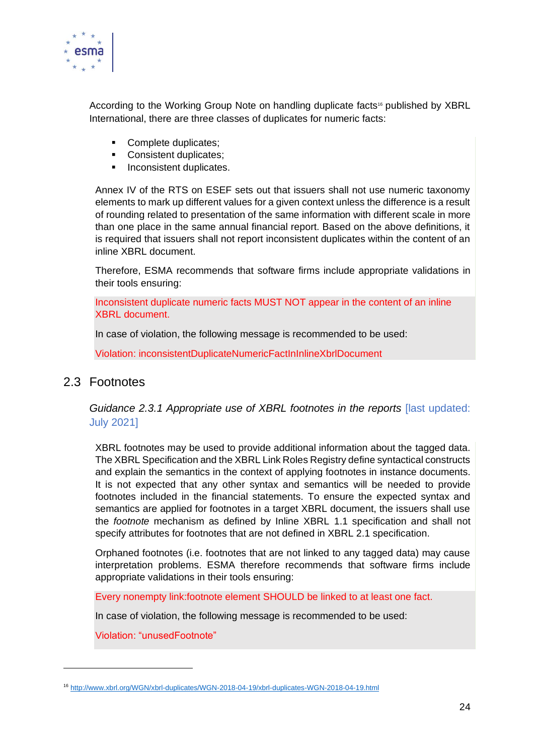

According to the Working Group Note on handling duplicate facts<sup>16</sup> published by XBRL International, there are three classes of duplicates for numeric facts:

- Complete duplicates;
- Consistent duplicates:
- Inconsistent duplicates.

Annex IV of the RTS on ESEF sets out that issuers shall not use numeric taxonomy elements to mark up different values for a given context unless the difference is a result of rounding related to presentation of the same information with different scale in more than one place in the same annual financial report. Based on the above definitions, it is required that issuers shall not report inconsistent duplicates within the content of an inline XBRL document.

Therefore, ESMA recommends that software firms include appropriate validations in their tools ensuring:

Inconsistent duplicate numeric facts MUST NOT appear in the content of an inline XBRL document.

In case of violation, the following message is recommended to be used:

Violation: inconsistentDuplicateNumericFactInInlineXbrlDocument

#### <span id="page-23-0"></span>2.3 Footnotes

*Guidance 2.3.1 Appropriate use of XBRL footnotes in the reports* [last updated: July 2021]

XBRL footnotes may be used to provide additional information about the tagged data. The XBRL Specification and the XBRL Link Roles Registry define syntactical constructs and explain the semantics in the context of applying footnotes in instance documents. It is not expected that any other syntax and semantics will be needed to provide footnotes included in the financial statements. To ensure the expected syntax and semantics are applied for footnotes in a target XBRL document, the issuers shall use the *footnote* mechanism as defined by Inline XBRL 1.1 specification and shall not specify attributes for footnotes that are not defined in XBRL 2.1 specification.

Orphaned footnotes (i.e. footnotes that are not linked to any tagged data) may cause interpretation problems. ESMA therefore recommends that software firms include appropriate validations in their tools ensuring:

Every nonempty link:footnote element SHOULD be linked to at least one fact.

In case of violation, the following message is recommended to be used:

Violation: "unusedFootnote"

<sup>16</sup> <http://www.xbrl.org/WGN/xbrl-duplicates/WGN-2018-04-19/xbrl-duplicates-WGN-2018-04-19.html>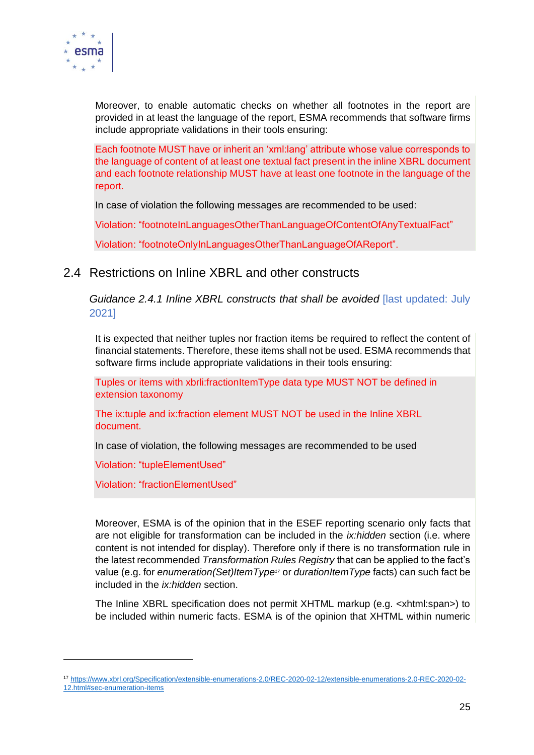

Moreover, to enable automatic checks on whether all footnotes in the report are provided in at least the language of the report, ESMA recommends that software firms include appropriate validations in their tools ensuring:

Each footnote MUST have or inherit an 'xml:lang' attribute whose value corresponds to the language of content of at least one textual fact present in the inline XBRL document and each footnote relationship MUST have at least one footnote in the language of the report.

In case of violation the following messages are recommended to be used:

Violation: "footnoteInLanguagesOtherThanLanguageOfContentOfAnyTextualFact"

Violation: "footnoteOnlyInLanguagesOtherThanLanguageOfAReport".

#### <span id="page-24-0"></span>2.4 Restrictions on Inline XBRL and other constructs

*Guidance 2.4.1 Inline XBRL constructs that shall be avoided* [last updated: July 2021]

It is expected that neither tuples nor fraction items be required to reflect the content of financial statements. Therefore, these items shall not be used. ESMA recommends that software firms include appropriate validations in their tools ensuring:

Tuples or items with xbrli:fractionItemType data type MUST NOT be defined in extension taxonomy

The ix:tuple and ix:fraction element MUST NOT be used in the Inline XBRL document.

In case of violation, the following messages are recommended to be used

Violation: "tupleElementUsed"

Violation: "fractionElementUsed"

Moreover, ESMA is of the opinion that in the ESEF reporting scenario only facts that are not eligible for transformation can be included in the *ix:hidden* section (i.e. where content is not intended for display). Therefore only if there is no transformation rule in the latest recommended *Transformation Rules Registry* that can be applied to the fact's value (e.g. for *enumeration(Set)ItemType<sup>17</sup>* or *durationItemType* facts) can such fact be included in the *ix:hidden* section.

The Inline XBRL specification does not permit XHTML markup (e.g. <xhtml:span>) to be included within numeric facts. ESMA is of the opinion that XHTML within numeric

<sup>17</sup> [https://www.xbrl.org/Specification/extensible-enumerations-2.0/REC-2020-02-12/extensible-enumerations-2.0-REC-2020-02-](https://www.xbrl.org/Specification/extensible-enumerations-2.0/REC-2020-02-12/extensible-enumerations-2.0-REC-2020-02-12.html#sec-enumeration-items) [12.html#sec-enumeration-items](https://www.xbrl.org/Specification/extensible-enumerations-2.0/REC-2020-02-12/extensible-enumerations-2.0-REC-2020-02-12.html#sec-enumeration-items)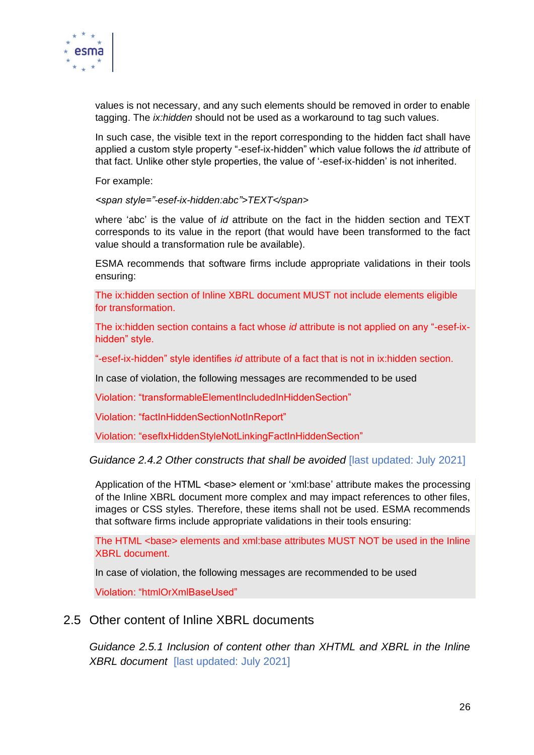

values is not necessary, and any such elements should be removed in order to enable tagging. The *ix:hidden* should not be used as a workaround to tag such values.

In such case, the visible text in the report corresponding to the hidden fact shall have applied a custom style property "-esef-ix-hidden" which value follows the *id* attribute of that fact. Unlike other style properties, the value of '-esef-ix-hidden' is not inherited.

For example:

*<span style="-esef-ix-hidden:abc">TEXT</span>* 

where 'abc' is the value of *id* attribute on the fact in the hidden section and TEXT corresponds to its value in the report (that would have been transformed to the fact value should a transformation rule be available).

ESMA recommends that software firms include appropriate validations in their tools ensuring:

The ix:hidden section of Inline XBRL document MUST not include elements eligible for transformation.

The ix:hidden section contains a fact whose *id* attribute is not applied on any "-esef-ixhidden" style.

"-esef-ix-hidden" style identifies *id* attribute of a fact that is not in ix:hidden section.

In case of violation, the following messages are recommended to be used

Violation: "transformableElementIncludedInHiddenSection"

Violation: "factInHiddenSectionNotInReport"

Violation: "esefIxHiddenStyleNotLinkingFactInHiddenSection"

#### *Guidance 2.4.2 Other constructs that shall be avoided* [last updated: July 2021]

Application of the HTML <br />base> element or 'xml:base' attribute makes the processing of the Inline XBRL document more complex and may impact references to other files, images or CSS styles. Therefore, these items shall not be used. ESMA recommends that software firms include appropriate validations in their tools ensuring:

The HTML <base> elements and xml:base attributes MUST NOT be used in the Inline XBRL document.

In case of violation, the following messages are recommended to be used

Violation: "htmlOrXmlBaseUsed"

#### <span id="page-25-0"></span>2.5 Other content of Inline XBRL documents

*Guidance 2.5.1 Inclusion of content other than XHTML and XBRL in the Inline XBRL document* [last updated: July 2021]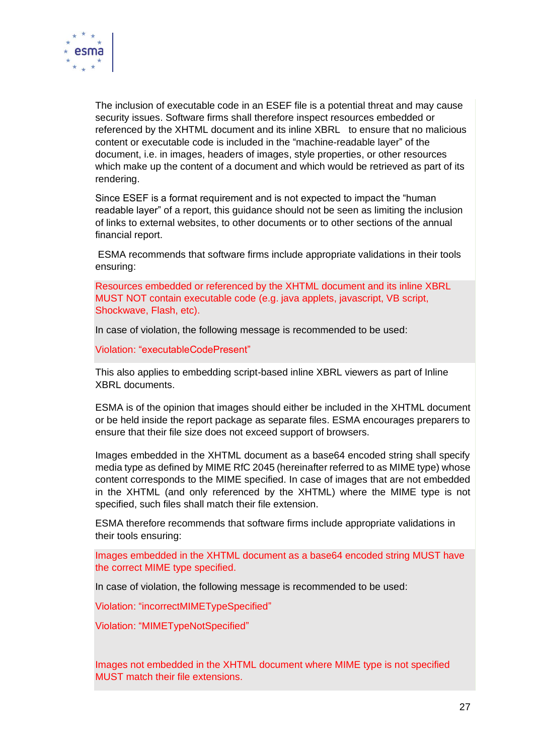

The inclusion of executable code in an ESEF file is a potential threat and may cause security issues. Software firms shall therefore inspect resources embedded or referenced by the XHTML document and its inline XBRL to ensure that no malicious content or executable code is included in the "machine-readable layer" of the document, i.e. in images, headers of images, style properties, or other resources which make up the content of a document and which would be retrieved as part of its rendering.

Since ESEF is a format requirement and is not expected to impact the "human readable layer" of a report, this guidance should not be seen as limiting the inclusion of links to external websites, to other documents or to other sections of the annual financial report.

ESMA recommends that software firms include appropriate validations in their tools ensuring:

Resources embedded or referenced by the XHTML document and its inline XBRL MUST NOT contain executable code (e.g. java applets, javascript, VB script, Shockwave, Flash, etc).

In case of violation, the following message is recommended to be used:

Violation: "executableCodePresent"

This also applies to embedding script-based inline XBRL viewers as part of Inline XBRL documents.

ESMA is of the opinion that images should either be included in the XHTML document or be held inside the report package as separate files. ESMA encourages preparers to ensure that their file size does not exceed support of browsers.

Images embedded in the XHTML document as a base64 encoded string shall specify media type as defined by MIME RfC 2045 (hereinafter referred to as MIME type) whose content corresponds to the MIME specified. In case of images that are not embedded in the XHTML (and only referenced by the XHTML) where the MIME type is not specified, such files shall match their file extension.

ESMA therefore recommends that software firms include appropriate validations in their tools ensuring:

Images embedded in the XHTML document as a base64 encoded string MUST have the correct MIME type specified.

In case of violation, the following message is recommended to be used:

Violation: "incorrectMIMETypeSpecified"

Violation: "MIMETypeNotSpecified"

Images not embedded in the XHTML document where MIME type is not specified MUST match their file extensions.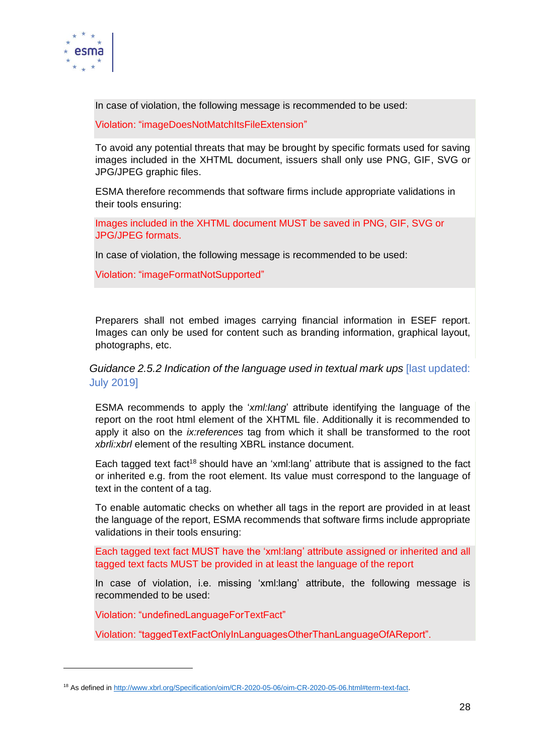

In case of violation, the following message is recommended to be used:

Violation: "imageDoesNotMatchItsFileExtension"

To avoid any potential threats that may be brought by specific formats used for saving images included in the XHTML document, issuers shall only use PNG, GIF, SVG or JPG/JPEG graphic files.

ESMA therefore recommends that software firms include appropriate validations in their tools ensuring:

Images included in the XHTML document MUST be saved in PNG, GIF, SVG or JPG/JPEG formats.

In case of violation, the following message is recommended to be used:

Violation: "imageFormatNotSupported"

Preparers shall not embed images carrying financial information in ESEF report. Images can only be used for content such as branding information, graphical layout, photographs, etc.

*Guidance 2.5.2 Indication of the language used in textual mark ups [last updated:* July 2019]

ESMA recommends to apply the '*xml:lang*' attribute identifying the language of the report on the root html element of the XHTML file. Additionally it is recommended to apply it also on the *ix:references* tag from which it shall be transformed to the root *xbrli:xbrl* element of the resulting XBRL instance document.

Each tagged text fact<sup>18</sup> should have an 'xml:lang' attribute that is assigned to the fact or inherited e.g. from the root element. Its value must correspond to the language of text in the content of a tag.

To enable automatic checks on whether all tags in the report are provided in at least the language of the report, ESMA recommends that software firms include appropriate validations in their tools ensuring:

Each tagged text fact MUST have the 'xml:lang' attribute assigned or inherited and all tagged text facts MUST be provided in at least the language of the report

In case of violation, i.e. missing 'xml:lang' attribute, the following message is recommended to be used:

Violation: "undefinedLanguageForTextFact"

Violation: "taggedTextFactOnlyInLanguagesOtherThanLanguageOfAReport".

<sup>18</sup> As defined in [http://www.xbrl.org/Specification/oim/CR-2020-05-06/oim-CR-2020-05-06.html#term-text-fact.](http://www.xbrl.org/Specification/oim/CR-2020-05-06/oim-CR-2020-05-06.html#term-text-fact)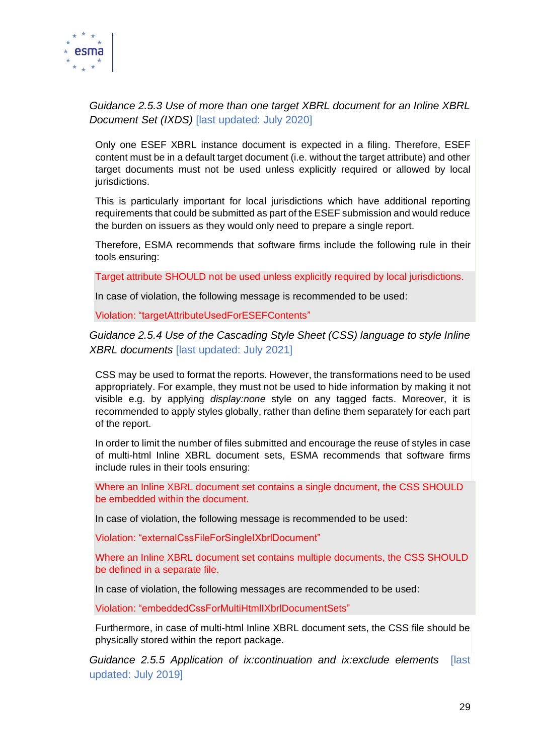

#### *Guidance 2.5.3 Use of more than one target XBRL document for an Inline XBRL Document Set (IXDS)* [last updated: July 2020]

Only one ESEF XBRL instance document is expected in a filing. Therefore, ESEF content must be in a default target document (i.e. without the target attribute) and other target documents must not be used unless explicitly required or allowed by local jurisdictions.

This is particularly important for local jurisdictions which have additional reporting requirements that could be submitted as part of the ESEF submission and would reduce the burden on issuers as they would only need to prepare a single report.

Therefore, ESMA recommends that software firms include the following rule in their tools ensuring:

Target attribute SHOULD not be used unless explicitly required by local jurisdictions.

In case of violation, the following message is recommended to be used:

Violation: "targetAttributeUsedForESEFContents"

#### *Guidance 2.5.4 Use of the Cascading Style Sheet (CSS) language to style Inline XBRL documents* [last updated: July 2021]

CSS may be used to format the reports. However, the transformations need to be used appropriately. For example, they must not be used to hide information by making it not visible e.g. by applying *display:none* style on any tagged facts. Moreover, it is recommended to apply styles globally, rather than define them separately for each part of the report.

In order to limit the number of files submitted and encourage the reuse of styles in case of multi-html Inline XBRL document sets, ESMA recommends that software firms include rules in their tools ensuring:

Where an Inline XBRL document set contains a single document, the CSS SHOULD be embedded within the document.

In case of violation, the following message is recommended to be used:

Violation: "externalCssFileForSingleIXbrlDocument"

Where an Inline XBRL document set contains multiple documents, the CSS SHOULD be defined in a separate file.

In case of violation, the following messages are recommended to be used:

Violation: "embeddedCssForMultiHtmlIXbrlDocumentSets"

Furthermore, in case of multi-html Inline XBRL document sets, the CSS file should be physically stored within the report package.

*Guidance 2.5.5 Application of ix:continuation and ix:exclude elements* [last updated: July 2019]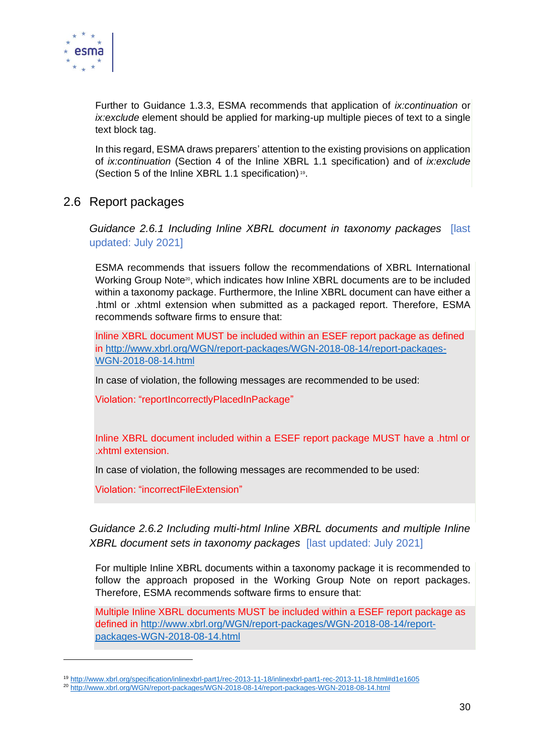

Further to Guidance 1.3.3, ESMA recommends that application of *ix:continuation* or *ix:exclude* element should be applied for marking-up multiple pieces of text to a single text block tag.

In this regard, ESMA draws preparers' attention to the existing provisions on application of *ix:continuation* (Section 4 of the Inline XBRL 1.1 specification) and of *ix:exclude* (Section 5 of the Inline XBRL 1.1 specification) 19 .

#### <span id="page-29-0"></span>2.6 Report packages

*Guidance 2.6.1 Including Inline XBRL document in taxonomy packages* [last updated: July 2021]

ESMA recommends that issuers follow the recommendations of XBRL International Working Group Note<sup>20</sup>, which indicates how Inline XBRL documents are to be included within a taxonomy package. Furthermore, the Inline XBRL document can have either a .html or .xhtml extension when submitted as a packaged report. Therefore, ESMA recommends software firms to ensure that:

Inline XBRL document MUST be included within an ESEF report package as defined in [http://www.xbrl.org/WGN/report-packages/WGN-2018-08-14/report-packages-](http://www.xbrl.org/WGN/report-packages/WGN-2018-08-14/report-packages-WGN-2018-08-14.html)[WGN-2018-08-14.html](http://www.xbrl.org/WGN/report-packages/WGN-2018-08-14/report-packages-WGN-2018-08-14.html)

In case of violation, the following messages are recommended to be used:

Violation: "reportIncorrectlyPlacedInPackage"

Inline XBRL document included within a ESEF report package MUST have a .html or .xhtml extension.

In case of violation, the following messages are recommended to be used:

Violation: "incorrectFileExtension"

*Guidance 2.6.2 Including multi-html Inline XBRL documents and multiple Inline XBRL document sets in taxonomy packages* [last updated: July 2021]

For multiple Inline XBRL documents within a taxonomy package it is recommended to follow the approach proposed in the Working Group Note on report packages. Therefore, ESMA recommends software firms to ensure that:

Multiple Inline XBRL documents MUST be included within a ESEF report package as defined in [http://www.xbrl.org/WGN/report-packages/WGN-2018-08-14/report](http://www.xbrl.org/WGN/report-packages/WGN-2018-08-14/report-packages-WGN-2018-08-14.html)[packages-WGN-2018-08-14.html](http://www.xbrl.org/WGN/report-packages/WGN-2018-08-14/report-packages-WGN-2018-08-14.html)

<sup>19</sup> <http://www.xbrl.org/specification/inlinexbrl-part1/rec-2013-11-18/inlinexbrl-part1-rec-2013-11-18.html#d1e1605>

<sup>20</sup> <http://www.xbrl.org/WGN/report-packages/WGN-2018-08-14/report-packages-WGN-2018-08-14.html>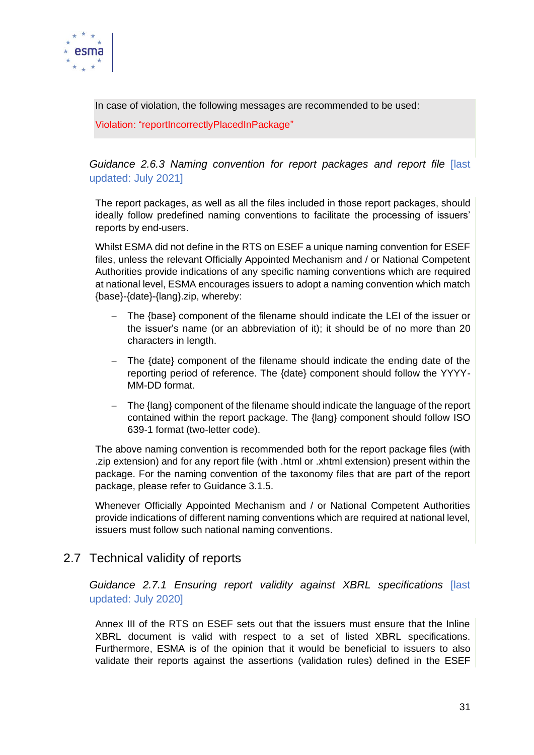

In case of violation, the following messages are recommended to be used:

Violation: "reportIncorrectlyPlacedInPackage"

*Guidance 2.6.3 Naming convention for report packages and report file* [last updated: July 2021]

The report packages, as well as all the files included in those report packages, should ideally follow predefined naming conventions to facilitate the processing of issuers' reports by end-users.

Whilst ESMA did not define in the RTS on ESEF a unique naming convention for ESEF files, unless the relevant Officially Appointed Mechanism and / or National Competent Authorities provide indications of any specific naming conventions which are required at national level, ESMA encourages issuers to adopt a naming convention which match {base}-{date}-{lang}.zip, whereby:

- The {base} component of the filename should indicate the LEI of the issuer or the issuer's name (or an abbreviation of it); it should be of no more than 20 characters in length.
- The {date} component of the filename should indicate the ending date of the reporting period of reference. The {date} component should follow the YYYY-MM-DD format.
- The {lang} component of the filename should indicate the language of the report contained within the report package. The {lang} component should follow ISO 639-1 format (two-letter code).

The above naming convention is recommended both for the report package files (with .zip extension) and for any report file (with .html or .xhtml extension) present within the package. For the naming convention of the taxonomy files that are part of the report package, please refer to Guidance 3.1.5.

Whenever Officially Appointed Mechanism and / or National Competent Authorities provide indications of different naming conventions which are required at national level, issuers must follow such national naming conventions.

### <span id="page-30-0"></span>2.7 Technical validity of reports

*Guidance 2.7.1 Ensuring report validity against XBRL specifications* [last updated: July 2020]

Annex III of the RTS on ESEF sets out that the issuers must ensure that the Inline XBRL document is valid with respect to a set of listed XBRL specifications. Furthermore, ESMA is of the opinion that it would be beneficial to issuers to also validate their reports against the assertions (validation rules) defined in the ESEF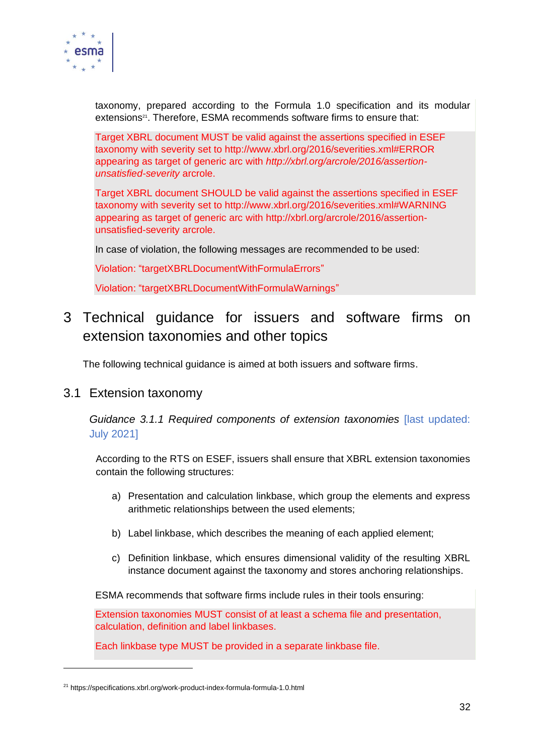

taxonomy, prepared according to the Formula 1.0 specification and its modular extensions<sup>21</sup>. Therefore, ESMA recommends software firms to ensure that:

Target XBRL document MUST be valid against the assertions specified in ESEF taxonomy with severity set to http://www.xbrl.org/2016/severities.xml#ERROR appearing as target of generic arc with *http://xbrl.org/arcrole/2016/assertionunsatisfied-severity* arcrole.

Target XBRL document SHOULD be valid against the assertions specified in ESEF taxonomy with severity set to http://www.xbrl.org/2016/severities.xml#WARNING appearing as target of generic arc with http://xbrl.org/arcrole/2016/assertionunsatisfied-severity arcrole.

In case of violation, the following messages are recommended to be used:

Violation: "targetXBRLDocumentWithFormulaErrors"

Violation: "targetXBRLDocumentWithFormulaWarnings"

## <span id="page-31-0"></span>3 Technical guidance for issuers and software firms on extension taxonomies and other topics

The following technical guidance is aimed at both issuers and software firms.

#### <span id="page-31-1"></span>3.1 Extension taxonomy

*Guidance 3.1.1 Required components of extension taxonomies* [last updated: July 2021]

According to the RTS on ESEF, issuers shall ensure that XBRL extension taxonomies contain the following structures:

- a) Presentation and calculation linkbase, which group the elements and express arithmetic relationships between the used elements;
- b) Label linkbase, which describes the meaning of each applied element;
- c) Definition linkbase, which ensures dimensional validity of the resulting XBRL instance document against the taxonomy and stores anchoring relationships.

ESMA recommends that software firms include rules in their tools ensuring:

Extension taxonomies MUST consist of at least a schema file and presentation, calculation, definition and label linkbases.

Each linkbase type MUST be provided in a separate linkbase file.

<sup>21</sup> https://specifications.xbrl.org/work-product-index-formula-formula-1.0.html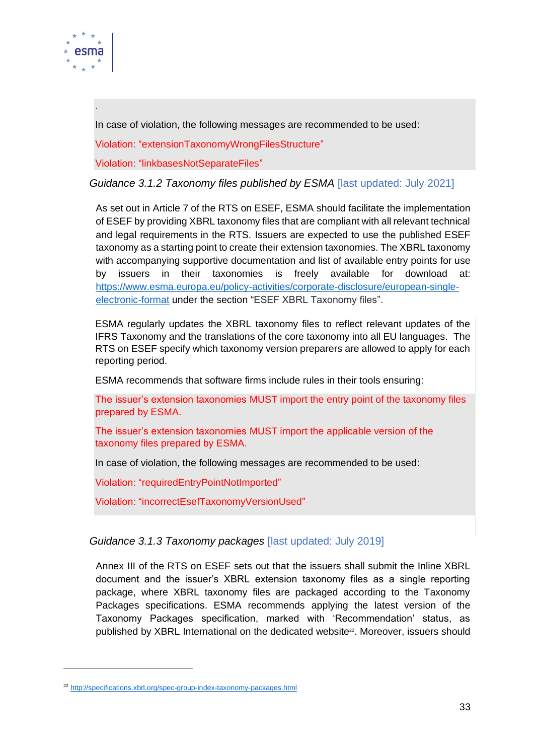

.

In case of violation, the following messages are recommended to be used:

Violation: "extensionTaxonomyWrongFilesStructure"

Violation: "linkbasesNotSeparateFiles"

*Guidance 3.1.2 Taxonomy files published by ESMA* [last updated: July 2021]

As set out in Article 7 of the RTS on ESEF, ESMA should facilitate the implementation of ESEF by providing XBRL taxonomy files that are compliant with all relevant technical and legal requirements in the RTS. Issuers are expected to use the published ESEF taxonomy as a starting point to create their extension taxonomies. The XBRL taxonomy with accompanying supportive documentation and list of available entry points for use by issuers in their taxonomies is freely available for download at: [https://www.esma.europa.eu/policy-activities/corporate-disclosure/european-single](https://www.esma.europa.eu/policy-activities/corporate-disclosure/european-single-electronic-format)[electronic-format](https://www.esma.europa.eu/policy-activities/corporate-disclosure/european-single-electronic-format) under the section "ESEF XBRL Taxonomy files".

ESMA regularly updates the XBRL taxonomy files to reflect relevant updates of the IFRS Taxonomy and the translations of the core taxonomy into all EU languages. The RTS on ESEF specify which taxonomy version preparers are allowed to apply for each reporting period.

ESMA recommends that software firms include rules in their tools ensuring:

The issuer's extension taxonomies MUST import the entry point of the taxonomy files prepared by ESMA.

The issuer's extension taxonomies MUST import the applicable version of the taxonomy files prepared by ESMA.

In case of violation, the following messages are recommended to be used:

Violation: "requiredEntryPointNotImported"

Violation: "incorrectEsefTaxonomyVersionUsed"

#### *Guidance 3.1.3 Taxonomy packages* [last updated: July 2019]

Annex III of the RTS on ESEF sets out that the issuers shall submit the Inline XBRL document and the issuer's XBRL extension taxonomy files as a single reporting package, where XBRL taxonomy files are packaged according to the Taxonomy Packages specifications. ESMA recommends applying the latest version of the Taxonomy Packages specification, marked with 'Recommendation' status, as published by XBRL International on the dedicated website<sup>22</sup>. Moreover, issuers should

<sup>22</sup> <http://specifications.xbrl.org/spec-group-index-taxonomy-packages.html>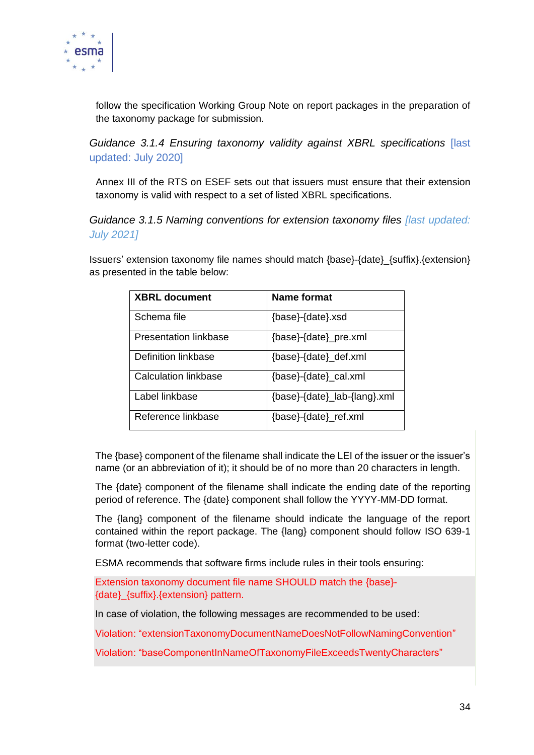

follow the specification Working Group Note on report packages in the preparation of the taxonomy package for submission.

*Guidance 3.1.4 Ensuring taxonomy validity against XBRL specifications* [last updated: July 2020]

Annex III of the RTS on ESEF sets out that issuers must ensure that their extension taxonomy is valid with respect to a set of listed XBRL specifications.

*Guidance 3.1.5 Naming conventions for extension taxonomy files [last updated: July 2021]*

Issuers' extension taxonomy file names should match {base}-{date}\_{suffix}.{extension} as presented in the table below:

| <b>XBRL document</b>  | Name format                  |
|-----------------------|------------------------------|
| Schema file           | {base}-{date}.xsd            |
| Presentation linkbase | {base}-{date}_pre.xml        |
| Definition linkbase   | {base}-{date}_def.xml        |
| Calculation linkbase  | {base}-{date}_cal.xml        |
| Label linkbase        | {base}-{date}_lab-{lang}.xml |
| Reference linkbase    | {base}-{date}_ref.xml        |

The {base} component of the filename shall indicate the LEI of the issuer or the issuer's name (or an abbreviation of it); it should be of no more than 20 characters in length.

The {date} component of the filename shall indicate the ending date of the reporting period of reference. The {date} component shall follow the YYYY-MM-DD format.

The {lang} component of the filename should indicate the language of the report contained within the report package. The {lang} component should follow ISO 639-1 format (two-letter code).

ESMA recommends that software firms include rules in their tools ensuring:

Extension taxonomy document file name SHOULD match the {base}- {date}\_{suffix}.{extension} pattern.

In case of violation, the following messages are recommended to be used:

Violation: "extensionTaxonomyDocumentNameDoesNotFollowNamingConvention"

Violation: "baseComponentInNameOfTaxonomyFileExceedsTwentyCharacters"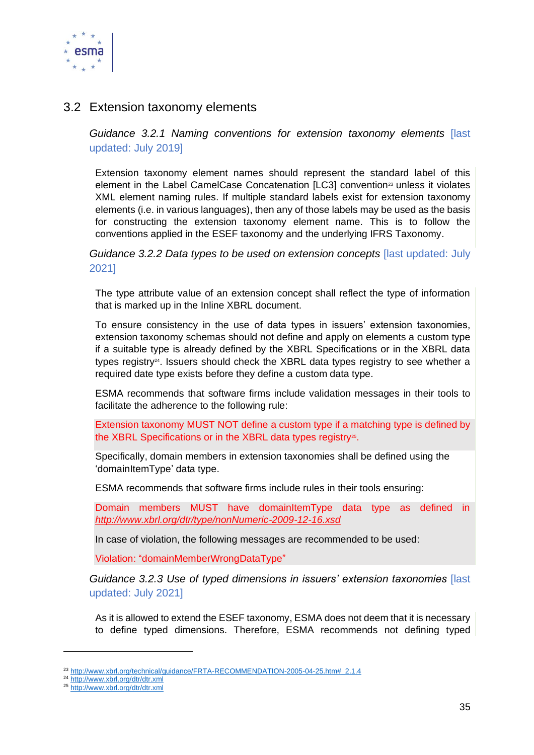

#### <span id="page-34-0"></span>3.2 Extension taxonomy elements

*Guidance 3.2.1 Naming conventions for extension taxonomy elements* [last updated: July 2019]

Extension taxonomy element names should represent the standard label of this element in the Label CamelCase Concatenation [LC3] convention<sup>23</sup> unless it violates XML element naming rules. If multiple standard labels exist for extension taxonomy elements (i.e. in various languages), then any of those labels may be used as the basis for constructing the extension taxonomy element name. This is to follow the conventions applied in the ESEF taxonomy and the underlying IFRS Taxonomy.

*Guidance 3.2.2 Data types to be used on extension concepts* [last updated: July 2021]

The type attribute value of an extension concept shall reflect the type of information that is marked up in the Inline XBRL document.

To ensure consistency in the use of data types in issuers' extension taxonomies, extension taxonomy schemas should not define and apply on elements a custom type if a suitable type is already defined by the XBRL Specifications or in the XBRL data types registry<sup>24</sup>. Issuers should check the XBRL data types registry to see whether a required date type exists before they define a custom data type.

ESMA recommends that software firms include validation messages in their tools to facilitate the adherence to the following rule:

Extension taxonomy MUST NOT define a custom type if a matching type is defined by the XBRL Specifications or in the XBRL data types registry<sup>25</sup>.

Specifically, domain members in extension taxonomies shall be defined using the 'domainItemType' data type.

ESMA recommends that software firms include rules in their tools ensuring:

Domain members MUST have domainItemType data type as defined in *<http://www.xbrl.org/dtr/type/nonNumeric-2009-12-16.xsd>*

In case of violation, the following messages are recommended to be used:

Violation: "domainMemberWrongDataType"

*Guidance 3.2.3 Use of typed dimensions in issuers' extension taxonomies* [last updated: July 2021]

As it is allowed to extend the ESEF taxonomy, ESMA does not deem that it is necessary to define typed dimensions. Therefore, ESMA recommends not defining typed

<sup>&</sup>lt;sup>23</sup> [http://www.xbrl.org/technical/guidance/FRTA-RECOMMENDATION-2005-04-25.htm#\\_2.1.4](http://www.xbrl.org/technical/guidance/FRTA-RECOMMENDATION-2005-04-25.htm#_2.1.4)

<sup>24</sup> <http://www.xbrl.org/dtr/dtr.xml>

<sup>25</sup> <http://www.xbrl.org/dtr/dtr.xml>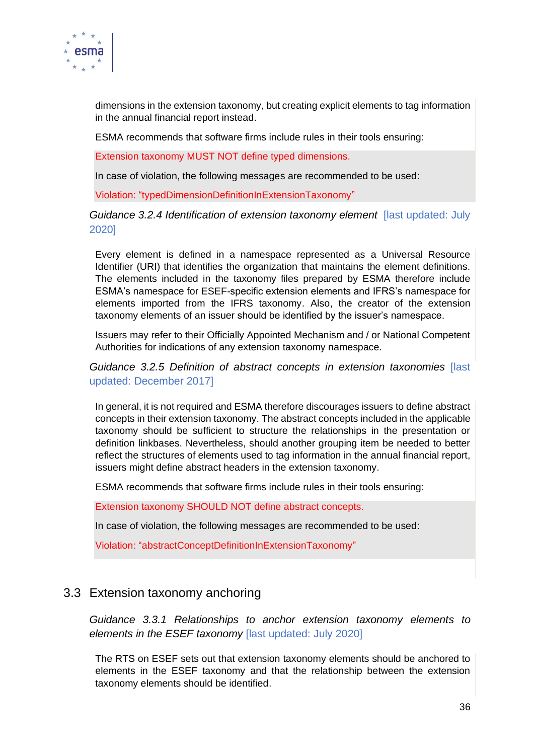

dimensions in the extension taxonomy, but creating explicit elements to tag information in the annual financial report instead.

ESMA recommends that software firms include rules in their tools ensuring:

Extension taxonomy MUST NOT define typed dimensions.

In case of violation, the following messages are recommended to be used:

Violation: "typedDimensionDefinitionInExtensionTaxonomy"

#### *Guidance 3.2.4 Identification of extension taxonomy element* [last updated: July 2020]

Every element is defined in a namespace represented as a Universal Resource Identifier (URI) that identifies the organization that maintains the element definitions. The elements included in the taxonomy files prepared by ESMA therefore include ESMA's namespace for ESEF-specific extension elements and IFRS's namespace for elements imported from the IFRS taxonomy. Also, the creator of the extension taxonomy elements of an issuer should be identified by the issuer's namespace.

Issuers may refer to their Officially Appointed Mechanism and / or National Competent Authorities for indications of any extension taxonomy namespace.

*Guidance 3.2.5 Definition of abstract concepts in extension taxonomies* [last updated: December 2017]

In general, it is not required and ESMA therefore discourages issuers to define abstract concepts in their extension taxonomy. The abstract concepts included in the applicable taxonomy should be sufficient to structure the relationships in the presentation or definition linkbases. Nevertheless, should another grouping item be needed to better reflect the structures of elements used to tag information in the annual financial report, issuers might define abstract headers in the extension taxonomy.

ESMA recommends that software firms include rules in their tools ensuring:

Extension taxonomy SHOULD NOT define abstract concepts.

In case of violation, the following messages are recommended to be used:

Violation: "abstractConceptDefinitionInExtensionTaxonomy"

#### <span id="page-35-0"></span>3.3 Extension taxonomy anchoring

*Guidance 3.3.1 Relationships to anchor extension taxonomy elements to elements in the ESEF taxonomy* [last updated: July 2020]

The RTS on ESEF sets out that extension taxonomy elements should be anchored to elements in the ESEF taxonomy and that the relationship between the extension taxonomy elements should be identified.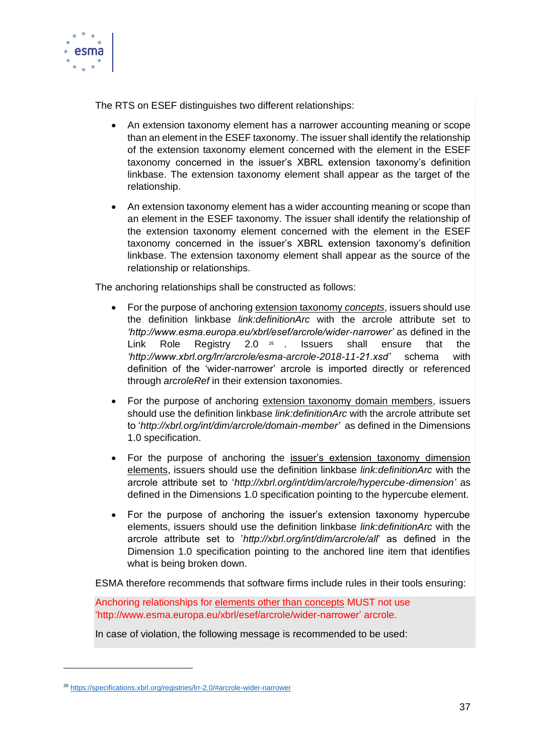

The RTS on ESEF distinguishes two different relationships:

- An extension taxonomy element has a narrower accounting meaning or scope than an element in the ESEF taxonomy. The issuer shall identify the relationship of the extension taxonomy element concerned with the element in the ESEF taxonomy concerned in the issuer's XBRL extension taxonomy's definition linkbase. The extension taxonomy element shall appear as the target of the relationship.
- An extension taxonomy element has a wider accounting meaning or scope than an element in the ESEF taxonomy. The issuer shall identify the relationship of the extension taxonomy element concerned with the element in the ESEF taxonomy concerned in the issuer's XBRL extension taxonomy's definition linkbase. The extension taxonomy element shall appear as the source of the relationship or relationships.

The anchoring relationships shall be constructed as follows:

- For the purpose of anchoring extension taxonomy *concepts*, issuers should use the definition linkbase *link:definitionArc* with the arcrole attribute set to *'http://www.esma.europa.eu/xbrl/esef/arcrole/wider-narrower'* as defined in the Link Role Registry 2.0 26 . . Issuers shall ensure that the *'http://www.xbrl.org/lrr/arcrole/esma-arcrole-2018-11-21.xsd'* schema with definition of the 'wider-narrower' arcrole is imported directly or referenced through *arcroleRef* in their extension taxonomies.
- For the purpose of anchoring extension taxonomy domain members, issuers should use the definition linkbase *link:definitionArc* with the arcrole attribute set to '*http://xbrl.org/int/dim/arcrole/domain-member'* as defined in the Dimensions 1.0 specification.
- For the purpose of anchoring the issuer's extension taxonomy dimension elements, issuers should use the definition linkbase *link:definitionArc* with the arcrole attribute set to '*http://xbrl.org/int/dim/arcrole/hypercube-dimension'* as defined in the Dimensions 1.0 specification pointing to the hypercube element.
- For the purpose of anchoring the issuer's extension taxonomy hypercube elements, issuers should use the definition linkbase *link:definitionArc* with the arcrole attribute set to '*http://xbrl.org/int/dim/arcrole/all*' as defined in the Dimension 1.0 specification pointing to the anchored line item that identifies what is being broken down.

ESMA therefore recommends that software firms include rules in their tools ensuring:

Anchoring relationships for elements other than concepts MUST not use 'http://www.esma.europa.eu/xbrl/esef/arcrole/wider-narrower' arcrole.

In case of violation, the following message is recommended to be used:

<sup>26</sup> <https://specifications.xbrl.org/registries/lrr-2.0/#arcrole-wider-narrower>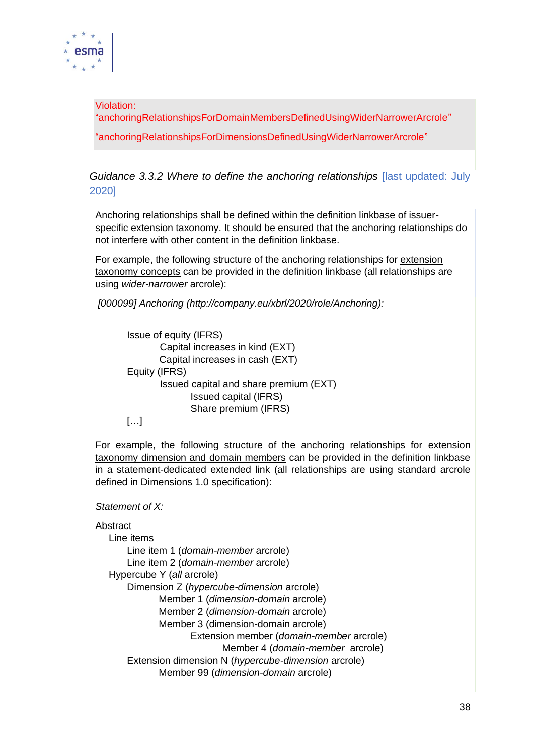

Violation: "anchoringRelationshipsForDomainMembersDefinedUsingWiderNarrowerArcrole" "anchoringRelationshipsForDimensionsDefinedUsingWiderNarrowerArcrole"

*Guidance 3.3.2 Where to define the anchoring relationships* [last updated: July 2020]

Anchoring relationships shall be defined within the definition linkbase of issuerspecific extension taxonomy. It should be ensured that the anchoring relationships do not interfere with other content in the definition linkbase.

For example, the following structure of the anchoring relationships for extension taxonomy concepts can be provided in the definition linkbase (all relationships are using *wider-narrower* arcrole):

*[000099] Anchoring (http://company.eu/xbrl/2020/role/Anchoring):*

Issue of equity (IFRS) Capital increases in kind (EXT) Capital increases in cash (EXT) Equity (IFRS) Issued capital and share premium (EXT) Issued capital (IFRS) Share premium (IFRS)

[…]

For example, the following structure of the anchoring relationships for extension taxonomy dimension and domain members can be provided in the definition linkbase in a statement-dedicated extended link (all relationships are using standard arcrole defined in Dimensions 1.0 specification):

*Statement of X:*

```
Abstract
Line items
   Line item 1 (domain-member arcrole)
   Line item 2 (domain-member arcrole)
Hypercube Y (all arcrole)
   Dimension Z (hypercube-dimension arcrole)
          Member 1 (dimension-domain arcrole)
          Member 2 (dimension-domain arcrole)
          Member 3 (dimension-domain arcrole) 
                 Extension member (domain-member arcrole)
                        Member 4 (domain-member arcrole)
   Extension dimension N (hypercube-dimension arcrole)
          Member 99 (dimension-domain arcrole)
```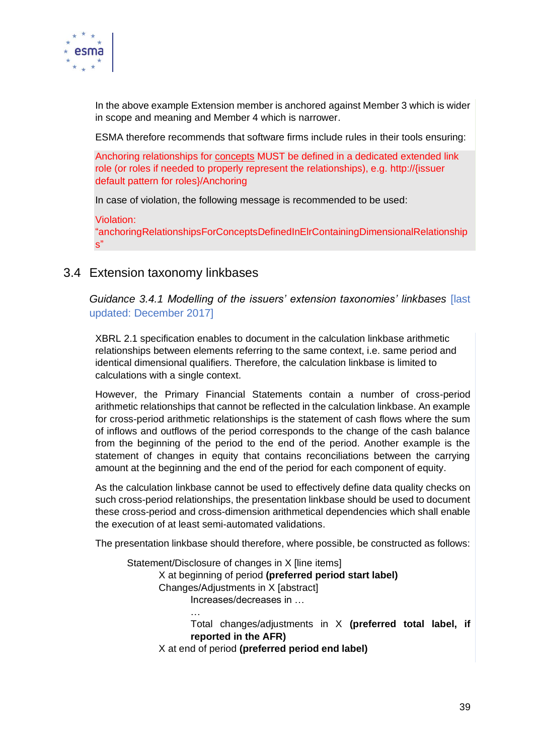

In the above example Extension member is anchored against Member 3 which is wider in scope and meaning and Member 4 which is narrower.

ESMA therefore recommends that software firms include rules in their tools ensuring:

Anchoring relationships for concepts MUST be defined in a dedicated extended link role (or roles if needed to properly represent the relationships), e.g. http://{issuer default pattern for roles}/Anchoring

In case of violation, the following message is recommended to be used:

#### Violation:

"anchoringRelationshipsForConceptsDefinedInElrContainingDimensionalRelationship  $s$ "

#### <span id="page-38-0"></span>3.4 Extension taxonomy linkbases

*Guidance 3.4.1 Modelling of the issuers' extension taxonomies' linkbases* [last updated: December 2017]

XBRL 2.1 specification enables to document in the calculation linkbase arithmetic relationships between elements referring to the same context, i.e. same period and identical dimensional qualifiers. Therefore, the calculation linkbase is limited to calculations with a single context.

However, the Primary Financial Statements contain a number of cross-period arithmetic relationships that cannot be reflected in the calculation linkbase. An example for cross-period arithmetic relationships is the statement of cash flows where the sum of inflows and outflows of the period corresponds to the change of the cash balance from the beginning of the period to the end of the period. Another example is the statement of changes in equity that contains reconciliations between the carrying amount at the beginning and the end of the period for each component of equity.

As the calculation linkbase cannot be used to effectively define data quality checks on such cross-period relationships, the presentation linkbase should be used to document these cross-period and cross-dimension arithmetical dependencies which shall enable the execution of at least semi-automated validations.

The presentation linkbase should therefore, where possible, be constructed as follows:

Statement/Disclosure of changes in X [line items] X at beginning of period **(preferred period start label)** Changes/Adjustments in X [abstract] Increases/decreases in … … Total changes/adjustments in X **(preferred total label, if reported in the AFR)**

X at end of period **(preferred period end label)**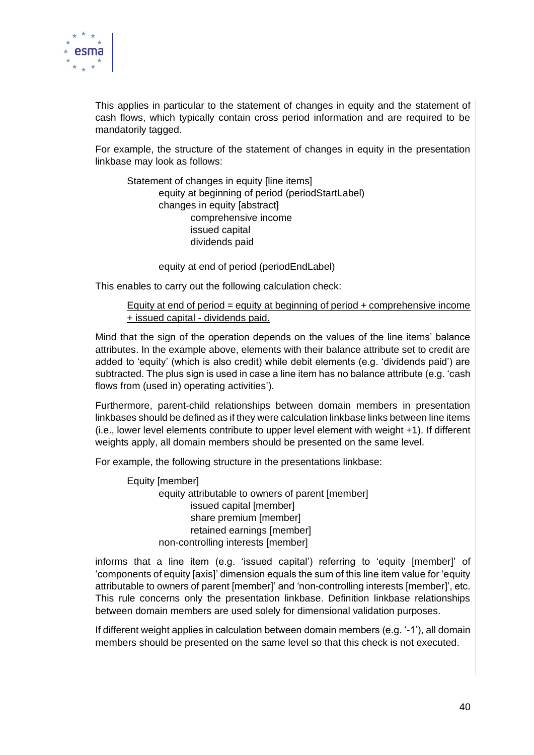

This applies in particular to the statement of changes in equity and the statement of cash flows, which typically contain cross period information and are required to be mandatorily tagged.

For example, the structure of the statement of changes in equity in the presentation linkbase may look as follows:

Statement of changes in equity [line items] equity at beginning of period (periodStartLabel) changes in equity [abstract] comprehensive income issued capital dividends paid

equity at end of period (periodEndLabel)

This enables to carry out the following calculation check:

#### Equity at end of period = equity at beginning of period + comprehensive income + issued capital - dividends paid.

Mind that the sign of the operation depends on the values of the line items' balance attributes. In the example above, elements with their balance attribute set to credit are added to 'equity' (which is also credit) while debit elements (e.g. 'dividends paid') are subtracted. The plus sign is used in case a line item has no balance attribute (e.g. 'cash flows from (used in) operating activities').

Furthermore, parent-child relationships between domain members in presentation linkbases should be defined as if they were calculation linkbase links between line items (i.e., lower level elements contribute to upper level element with weight +1). If different weights apply, all domain members should be presented on the same level.

For example, the following structure in the presentations linkbase:

Equity [member] equity attributable to owners of parent [member] issued capital [member] share premium [member] retained earnings [member] non-controlling interests [member]

informs that a line item (e.g. 'issued capital') referring to 'equity [member]' of 'components of equity [axis]' dimension equals the sum of this line item value for 'equity attributable to owners of parent [member]' and 'non-controlling interests [member]', etc. This rule concerns only the presentation linkbase. Definition linkbase relationships between domain members are used solely for dimensional validation purposes.

If different weight applies in calculation between domain members (e.g. '-1'), all domain members should be presented on the same level so that this check is not executed.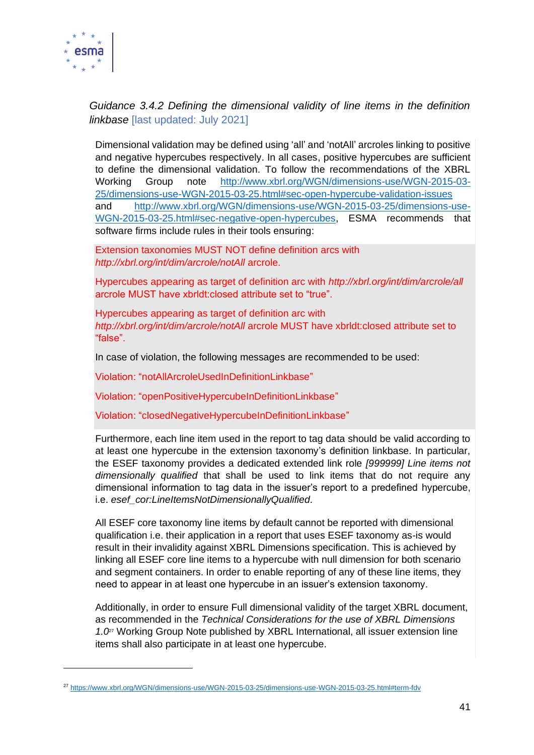

#### *Guidance 3.4.2 Defining the dimensional validity of line items in the definition linkbase* [last updated: July 2021]

Dimensional validation may be defined using 'all' and 'notAll' arcroles linking to positive and negative hypercubes respectively. In all cases, positive hypercubes are sufficient to define the dimensional validation. To follow the recommendations of the XBRL Working Group note [http://www.xbrl.org/WGN/dimensions-use/WGN-2015-03-](http://www.xbrl.org/WGN/dimensions-use/WGN-2015-03-25/dimensions-use-WGN-2015-03-25.html#sec-open-hypercube-validation-issues) [25/dimensions-use-WGN-2015-03-25.html#sec-open-hypercube-validation-issues](http://www.xbrl.org/WGN/dimensions-use/WGN-2015-03-25/dimensions-use-WGN-2015-03-25.html#sec-open-hypercube-validation-issues) and [http://www.xbrl.org/WGN/dimensions-use/WGN-2015-03-25/dimensions-use-](http://www.xbrl.org/WGN/dimensions-use/WGN-2015-03-25/dimensions-use-WGN-2015-03-25.html#sec-negative-open-hypercubes)[WGN-2015-03-25.html#sec-negative-open-hypercubes,](http://www.xbrl.org/WGN/dimensions-use/WGN-2015-03-25/dimensions-use-WGN-2015-03-25.html#sec-negative-open-hypercubes) ESMA recommends that software firms include rules in their tools ensuring:

Extension taxonomies MUST NOT define definition arcs with *http://xbrl.org/int/dim/arcrole/notAll* arcrole.

Hypercubes appearing as target of definition arc with *http://xbrl.org/int/dim/arcrole/all*  arcrole MUST have xbrldt:closed attribute set to "true".

Hypercubes appearing as target of definition arc with *http://xbrl.org/int/dim/arcrole/notAll* arcrole MUST have xbrldt:closed attribute set to "false".

In case of violation, the following messages are recommended to be used:

Violation: "notAllArcroleUsedInDefinitionLinkbase"

Violation: "openPositiveHypercubeInDefinitionLinkbase"

Violation: "closedNegativeHypercubeInDefinitionLinkbase"

Furthermore, each line item used in the report to tag data should be valid according to at least one hypercube in the extension taxonomy's definition linkbase. In particular, the ESEF taxonomy provides a dedicated extended link role *[999999] Line items not dimensionally qualified* that shall be used to link items that do not require any dimensional information to tag data in the issuer's report to a predefined hypercube, i.e. *esef\_cor:LineItemsNotDimensionallyQualified.* 

All ESEF core taxonomy line items by default cannot be reported with dimensional qualification i.e. their application in a report that uses ESEF taxonomy as-is would result in their invalidity against XBRL Dimensions specification. This is achieved by linking all ESEF core line items to a hypercube with null dimension for both scenario and segment containers. In order to enable reporting of any of these line items, they need to appear in at least one hypercube in an issuer's extension taxonomy.

Additionally, in order to ensure Full dimensional validity of the target XBRL document, as recommended in the *Technical Considerations for the use of XBRL Dimensions 1.0*<sup>27</sup> Working Group Note published by XBRL International, all issuer extension line items shall also participate in at least one hypercube.

<sup>27</sup> <https://www.xbrl.org/WGN/dimensions-use/WGN-2015-03-25/dimensions-use-WGN-2015-03-25.html#term-fdv>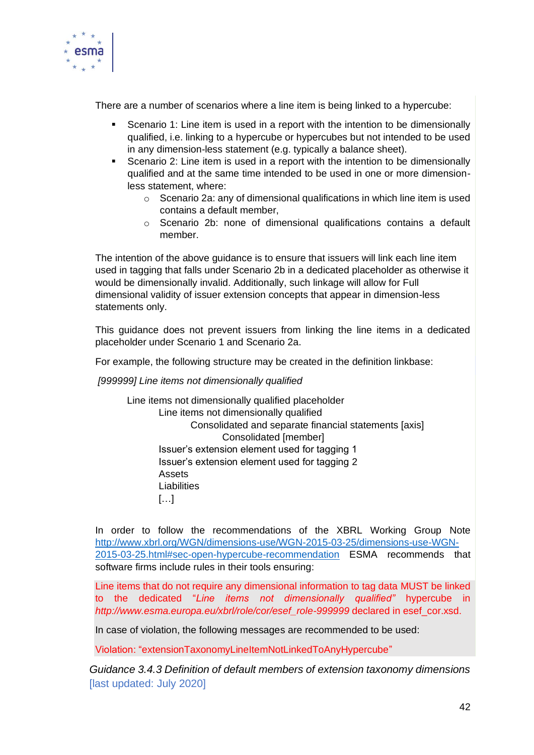

There are a number of scenarios where a line item is being linked to a hypercube:

- Scenario 1: Line item is used in a report with the intention to be dimensionally qualified, i.e. linking to a hypercube or hypercubes but not intended to be used in any dimension-less statement (e.g. typically a balance sheet).
- Scenario 2: Line item is used in a report with the intention to be dimensionally qualified and at the same time intended to be used in one or more dimensionless statement, where:
	- $\circ$  Scenario 2a: any of dimensional qualifications in which line item is used contains a default member,
	- o Scenario 2b: none of dimensional qualifications contains a default member.

The intention of the above guidance is to ensure that issuers will link each line item used in tagging that falls under Scenario 2b in a dedicated placeholder as otherwise it would be dimensionally invalid. Additionally, such linkage will allow for Full dimensional validity of issuer extension concepts that appear in dimension-less statements only.

This guidance does not prevent issuers from linking the line items in a dedicated placeholder under Scenario 1 and Scenario 2a.

For example, the following structure may be created in the definition linkbase:

*[999999] Line items not dimensionally qualified*

Line items not dimensionally qualified placeholder Line items not dimensionally qualified Consolidated and separate financial statements [axis] Consolidated [member] Issuer's extension element used for tagging 1 Issuer's extension element used for tagging 2 Assets Liabilities  $\Gamma$ … $\Gamma$ 

In order to follow the recommendations of the XBRL Working Group Note [http://www.xbrl.org/WGN/dimensions-use/WGN-2015-03-25/dimensions-use-WGN-](http://www.xbrl.org/WGN/dimensions-use/WGN-2015-03-25/dimensions-use-WGN-2015-03-25.html#sec-open-hypercube-recommendation)[2015-03-25.html#sec-open-hypercube-recommendation](http://www.xbrl.org/WGN/dimensions-use/WGN-2015-03-25/dimensions-use-WGN-2015-03-25.html#sec-open-hypercube-recommendation) ESMA recommends that software firms include rules in their tools ensuring:

Line items that do not require any dimensional information to tag data MUST be linked to the dedicated "*Line items not dimensionally qualified"* hypercube in *http://www.esma.europa.eu/xbrl/role/cor/esef\_role-999999* declared in esef\_cor.xsd.

In case of violation, the following messages are recommended to be used:

Violation: "extensionTaxonomyLineItemNotLinkedToAnyHypercube"

*Guidance 3.4.3 Definition of default members of extension taxonomy dimensions* [last updated: July 2020]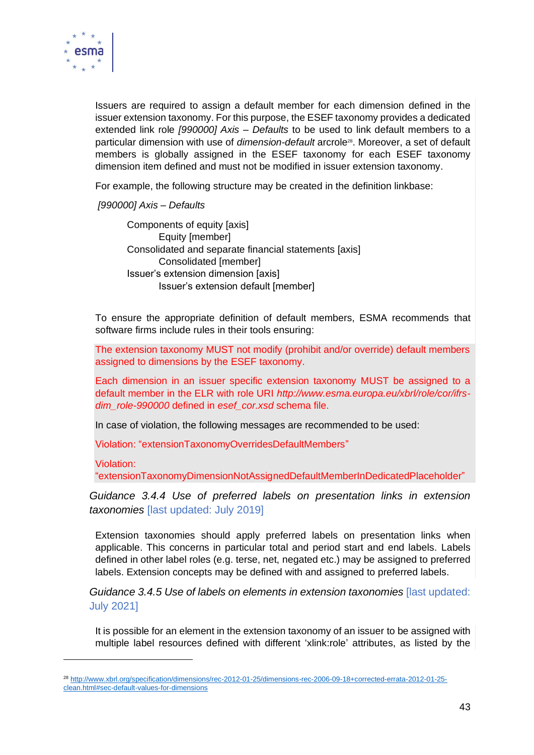

Issuers are required to assign a default member for each dimension defined in the issuer extension taxonomy. For this purpose, the ESEF taxonomy provides a dedicated extended link role *[990000] Axis – Defaults* to be used to link default members to a particular dimension with use of *dimension-default* arcrole<sup>28</sup>. Moreover, a set of default members is globally assigned in the ESEF taxonomy for each ESEF taxonomy dimension item defined and must not be modified in issuer extension taxonomy.

For example, the following structure may be created in the definition linkbase:

*[990000] Axis – Defaults*

Components of equity [axis] Equity [member] Consolidated and separate financial statements [axis] Consolidated [member] Issuer's extension dimension [axis] Issuer's extension default [member]

To ensure the appropriate definition of default members, ESMA recommends that software firms include rules in their tools ensuring:

The extension taxonomy MUST not modify (prohibit and/or override) default members assigned to dimensions by the ESEF taxonomy.

Each dimension in an issuer specific extension taxonomy MUST be assigned to a default member in the ELR with role URI *http://www.esma.europa.eu/xbrl/role/cor/ifrsdim\_role-990000* defined in *esef\_cor.xsd* schema file.

In case of violation, the following messages are recommended to be used:

Violation: "extensionTaxonomyOverridesDefaultMembers"

Violation:

"extensionTaxonomyDimensionNotAssignedDefaultMemberInDedicatedPlaceholder"

*Guidance 3.4.4 Use of preferred labels on presentation links in extension taxonomies* [last updated: July 2019]

Extension taxonomies should apply preferred labels on presentation links when applicable. This concerns in particular total and period start and end labels. Labels defined in other label roles (e.g. terse, net, negated etc.) may be assigned to preferred labels. Extension concepts may be defined with and assigned to preferred labels.

*Guidance 3.4.5 Use of labels on elements in extension taxonomies* [last updated: July 2021]

It is possible for an element in the extension taxonomy of an issuer to be assigned with multiple label resources defined with different 'xlink:role' attributes, as listed by the

<sup>28</sup> [http://www.xbrl.org/specification/dimensions/rec-2012-01-25/dimensions-rec-2006-09-18+corrected-errata-2012-01-25](http://www.xbrl.org/specification/dimensions/rec-2012-01-25/dimensions-rec-2006-09-18+corrected-errata-2012-01-25-clean.html#sec-default-values-for-dimensions) [clean.html#sec-default-values-for-dimensions](http://www.xbrl.org/specification/dimensions/rec-2012-01-25/dimensions-rec-2006-09-18+corrected-errata-2012-01-25-clean.html#sec-default-values-for-dimensions)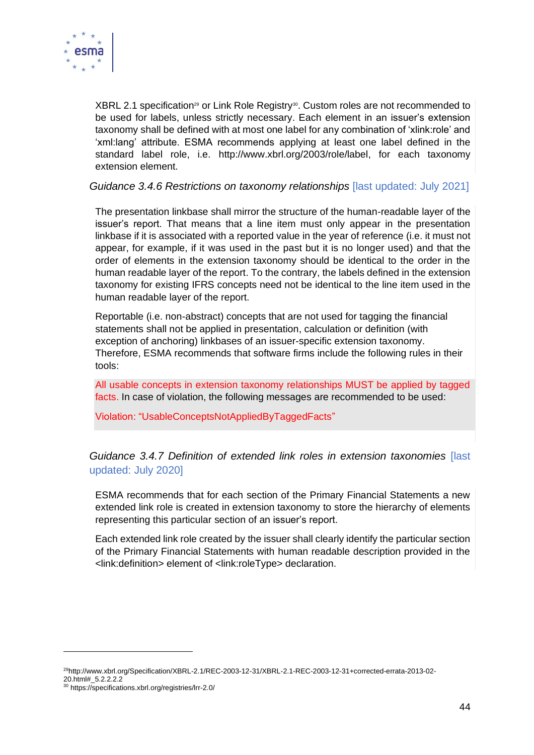

XBRL 2.1 specification<sup>29</sup> or Link Role Registry<sup>30</sup>. Custom roles are not recommended to be used for labels, unless strictly necessary. Each element in an issuer's extension taxonomy shall be defined with at most one label for any combination of 'xlink:role' and 'xml:lang' attribute. ESMA recommends applying at least one label defined in the standard label role, i.e. http://www.xbrl.org/2003/role/label, for each taxonomy extension element.

*Guidance 3.4.6 Restrictions on taxonomy relationships* [last updated: July 2021]

The presentation linkbase shall mirror the structure of the human-readable layer of the issuer's report. That means that a line item must only appear in the presentation linkbase if it is associated with a reported value in the year of reference (i.e. it must not appear, for example, if it was used in the past but it is no longer used) and that the order of elements in the extension taxonomy should be identical to the order in the human readable layer of the report. To the contrary, the labels defined in the extension taxonomy for existing IFRS concepts need not be identical to the line item used in the human readable layer of the report.

Reportable (i.e. non-abstract) concepts that are not used for tagging the financial statements shall not be applied in presentation, calculation or definition (with exception of anchoring) linkbases of an issuer-specific extension taxonomy. Therefore, ESMA recommends that software firms include the following rules in their tools:

All usable concepts in extension taxonomy relationships MUST be applied by tagged facts. In case of violation, the following messages are recommended to be used:

Violation: "UsableConceptsNotAppliedByTaggedFacts"

#### *Guidance 3.4.7 Definition of extended link roles in extension taxonomies* [last updated: July 2020]

ESMA recommends that for each section of the Primary Financial Statements a new extended link role is created in extension taxonomy to store the hierarchy of elements representing this particular section of an issuer's report.

Each extended link role created by the issuer shall clearly identify the particular section of the Primary Financial Statements with human readable description provided in the <link:definition> element of <link:roleType> declaration.

<sup>29</sup>http://www.xbrl.org/Specification/XBRL-2.1/REC-2003-12-31/XBRL-2.1-REC-2003-12-31+corrected-errata-2013-02- 20.html#\_5.2.2.2.2

<sup>30</sup> https://specifications.xbrl.org/registries/lrr-2.0/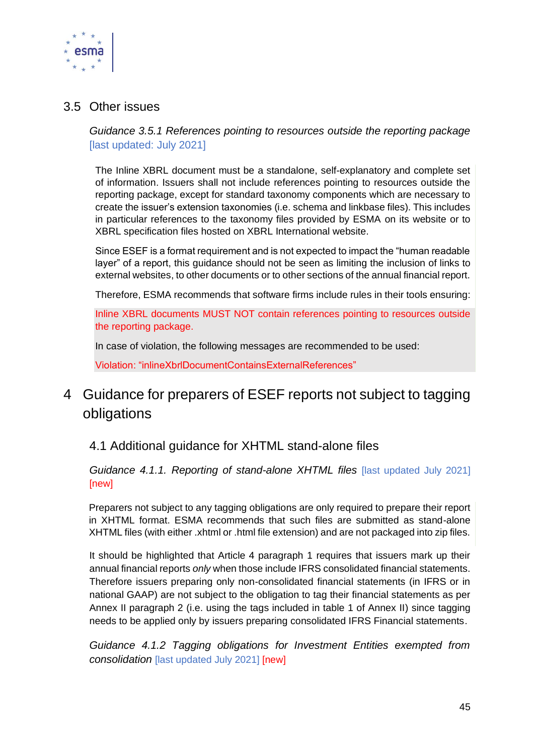

#### <span id="page-44-0"></span>3.5 Other issues

*Guidance 3.5.1 References pointing to resources outside the reporting package* [last updated: July 2021]

The Inline XBRL document must be a standalone, self-explanatory and complete set of information. Issuers shall not include references pointing to resources outside the reporting package, except for standard taxonomy components which are necessary to create the issuer's extension taxonomies (i.e. schema and linkbase files). This includes in particular references to the taxonomy files provided by ESMA on its website or to XBRL specification files hosted on XBRL International website.

Since ESEF is a format requirement and is not expected to impact the "human readable layer" of a report, this guidance should not be seen as limiting the inclusion of links to external websites, to other documents or to other sections of the annual financial report.

Therefore, ESMA recommends that software firms include rules in their tools ensuring:

Inline XBRL documents MUST NOT contain references pointing to resources outside the reporting package.

In case of violation, the following messages are recommended to be used:

Violation: "inlineXbrlDocumentContainsExternalReferences"

## <span id="page-44-1"></span>4 Guidance for preparers of ESEF reports not subject to tagging obligations

### <span id="page-44-2"></span>4.1 Additional guidance for XHTML stand-alone files

*Guidance 4.1.1. Reporting of stand-alone XHTML files* [last updated July 2021] [new]

Preparers not subject to any tagging obligations are only required to prepare their report in XHTML format. ESMA recommends that such files are submitted as stand-alone XHTML files (with either .xhtml or .html file extension) and are not packaged into zip files.

It should be highlighted that Article 4 paragraph 1 requires that issuers mark up their annual financial reports *only* when those include IFRS consolidated financial statements. Therefore issuers preparing only non-consolidated financial statements (in IFRS or in national GAAP) are not subject to the obligation to tag their financial statements as per Annex II paragraph 2 (i.e. using the tags included in table 1 of Annex II) since tagging needs to be applied only by issuers preparing consolidated IFRS Financial statements.

*Guidance 4.1.2 Tagging obligations for Investment Entities exempted from consolidation* [last updated July 2021] [new]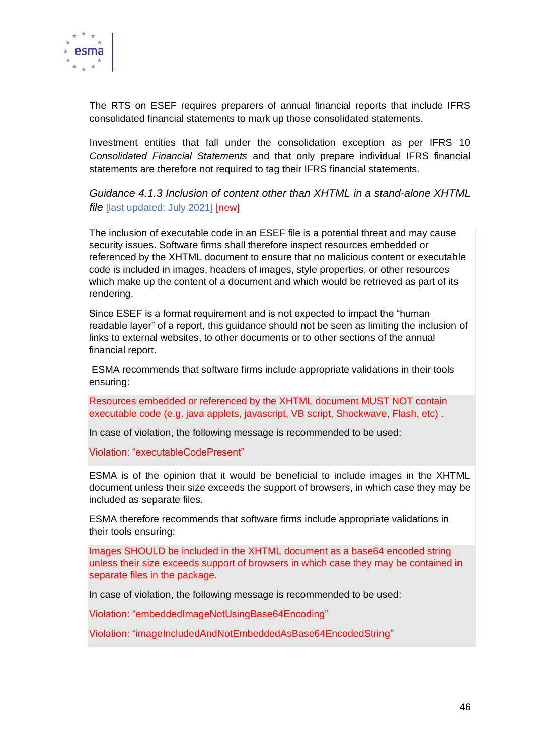

The RTS on ESEF requires preparers of annual financial reports that include IFRS consolidated financial statements to mark up those consolidated statements.

Investment entities that fall under the consolidation exception as per IFRS 10 *Consolidated Financial Statements* and that only prepare individual IFRS financial statements are therefore not required to tag their IFRS financial statements.

*Guidance 4.1.3 Inclusion of content other than XHTML in a stand-alone XHTML file* [last updated: July 2021] [new]

The inclusion of executable code in an ESEF file is a potential threat and may cause security issues. Software firms shall therefore inspect resources embedded or referenced by the XHTML document to ensure that no malicious content or executable code is included in images, headers of images, style properties, or other resources which make up the content of a document and which would be retrieved as part of its rendering.

Since ESEF is a format requirement and is not expected to impact the "human readable layer" of a report, this guidance should not be seen as limiting the inclusion of links to external websites, to other documents or to other sections of the annual financial report.

ESMA recommends that software firms include appropriate validations in their tools ensuring:

Resources embedded or referenced by the XHTML document MUST NOT contain executable code (e.g. java applets, javascript, VB script, Shockwave, Flash, etc) .

In case of violation, the following message is recommended to be used:

Violation: "executableCodePresent"

ESMA is of the opinion that it would be beneficial to include images in the XHTML document unless their size exceeds the support of browsers, in which case they may be included as separate files.

ESMA therefore recommends that software firms include appropriate validations in their tools ensuring:

Images SHOULD be included in the XHTML document as a base64 encoded string unless their size exceeds support of browsers in which case they may be contained in separate files in the package.

In case of violation, the following message is recommended to be used:

Violation: "embeddedImageNotUsingBase64Encoding"

Violation: "imageIncludedAndNotEmbeddedAsBase64EncodedString"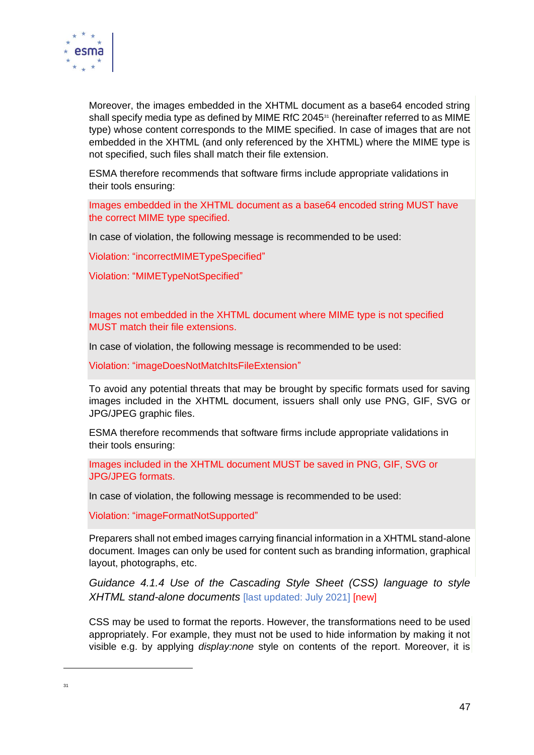

Moreover, the images embedded in the XHTML document as a base64 encoded string shall specify media type as defined by MIME RfC 2045<sup>31</sup> (hereinafter referred to as MIME type) whose content corresponds to the MIME specified. In case of images that are not embedded in the XHTML (and only referenced by the XHTML) where the MIME type is not specified, such files shall match their file extension.

ESMA therefore recommends that software firms include appropriate validations in their tools ensuring:

Images embedded in the XHTML document as a base64 encoded string MUST have the correct MIME type specified.

In case of violation, the following message is recommended to be used:

Violation: "incorrectMIMETypeSpecified"

Violation: "MIMETypeNotSpecified"

Images not embedded in the XHTML document where MIME type is not specified MUST match their file extensions.

In case of violation, the following message is recommended to be used:

Violation: "imageDoesNotMatchItsFileExtension"

To avoid any potential threats that may be brought by specific formats used for saving images included in the XHTML document, issuers shall only use PNG, GIF, SVG or JPG/JPEG graphic files.

ESMA therefore recommends that software firms include appropriate validations in their tools ensuring:

Images included in the XHTML document MUST be saved in PNG, GIF, SVG or JPG/JPEG formats.

In case of violation, the following message is recommended to be used:

Violation: "imageFormatNotSupported"

Preparers shall not embed images carrying financial information in a XHTML stand-alone document. Images can only be used for content such as branding information, graphical layout, photographs, etc.

*Guidance 4.1.4 Use of the Cascading Style Sheet (CSS) language to style XHTML stand-alone documents* [last updated: July 2021] [new]

CSS may be used to format the reports. However, the transformations need to be used appropriately. For example, they must not be used to hide information by making it not visible e.g. by applying *display:none* style on contents of the report. Moreover, it is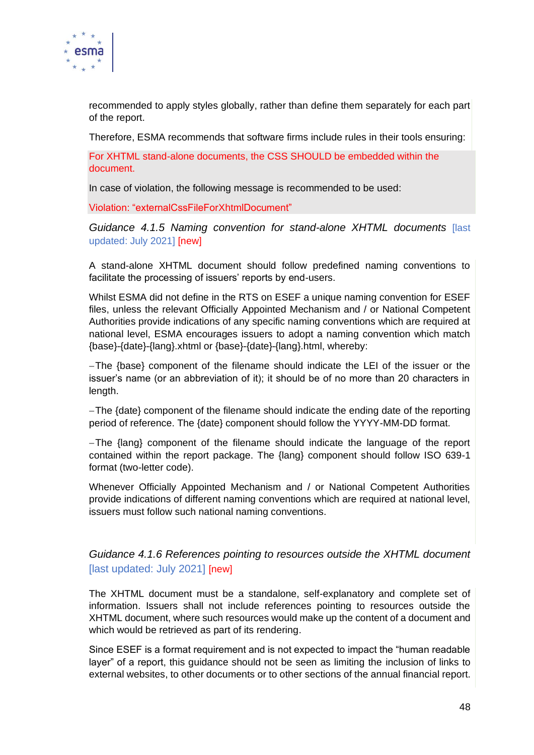

recommended to apply styles globally, rather than define them separately for each part of the report.

Therefore, ESMA recommends that software firms include rules in their tools ensuring:

For XHTML stand-alone documents, the CSS SHOULD be embedded within the document.

In case of violation, the following message is recommended to be used:

Violation: "externalCssFileForXhtmlDocument"

*Guidance 4.1.5 Naming convention for stand-alone XHTML documents* [last updated: July 2021] [new]

A stand-alone XHTML document should follow predefined naming conventions to facilitate the processing of issuers' reports by end-users.

Whilst ESMA did not define in the RTS on ESEF a unique naming convention for ESEF files, unless the relevant Officially Appointed Mechanism and / or National Competent Authorities provide indications of any specific naming conventions which are required at national level, ESMA encourages issuers to adopt a naming convention which match {base}-{date}-{lang}.xhtml or {base}-{date}-{lang}.html, whereby:

−The {base} component of the filename should indicate the LEI of the issuer or the issuer's name (or an abbreviation of it); it should be of no more than 20 characters in length.

−The {date} component of the filename should indicate the ending date of the reporting period of reference. The {date} component should follow the YYYY-MM-DD format.

−The {lang} component of the filename should indicate the language of the report contained within the report package. The {lang} component should follow ISO 639-1 format (two-letter code).

Whenever Officially Appointed Mechanism and / or National Competent Authorities provide indications of different naming conventions which are required at national level, issuers must follow such national naming conventions.

#### *Guidance 4.1.6 References pointing to resources outside the XHTML document* [last updated: July 2021] [new]

The XHTML document must be a standalone, self-explanatory and complete set of information. Issuers shall not include references pointing to resources outside the XHTML document, where such resources would make up the content of a document and which would be retrieved as part of its rendering.

Since ESEF is a format requirement and is not expected to impact the "human readable layer" of a report, this guidance should not be seen as limiting the inclusion of links to external websites, to other documents or to other sections of the annual financial report.